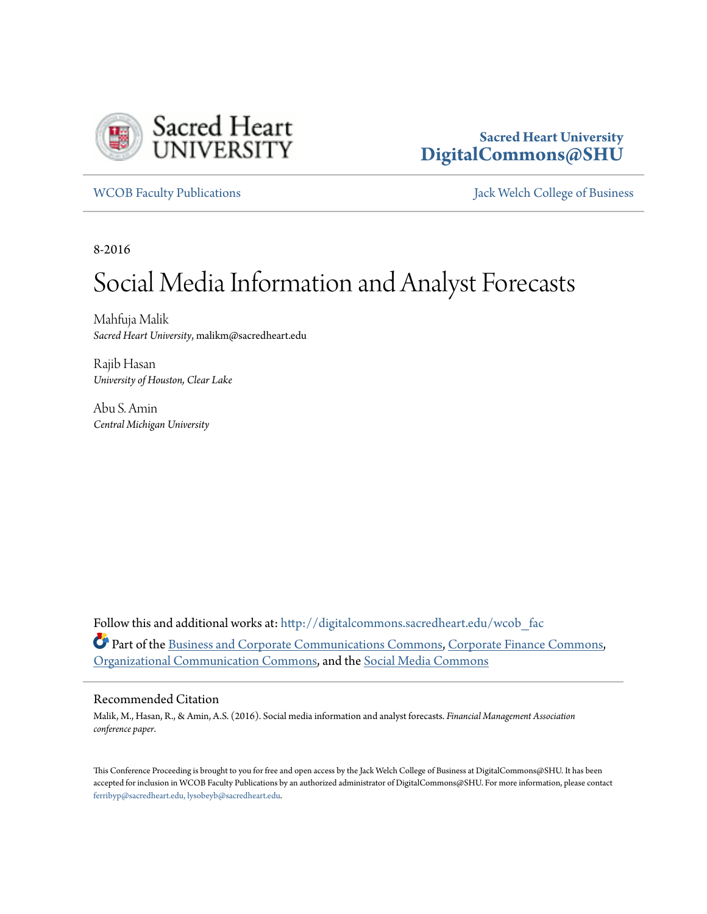

# **Sacred Heart University [DigitalCommons@SHU](http://digitalcommons.sacredheart.edu?utm_source=digitalcommons.sacredheart.edu%2Fwcob_fac%2F487&utm_medium=PDF&utm_campaign=PDFCoverPages)**

[WCOB Faculty Publications](http://digitalcommons.sacredheart.edu/wcob_fac?utm_source=digitalcommons.sacredheart.edu%2Fwcob_fac%2F487&utm_medium=PDF&utm_campaign=PDFCoverPages) [Jack Welch College of Business](http://digitalcommons.sacredheart.edu/wcob?utm_source=digitalcommons.sacredheart.edu%2Fwcob_fac%2F487&utm_medium=PDF&utm_campaign=PDFCoverPages)

8-2016

# Social Media Information and Analyst Forecasts

Mahfuja Malik *Sacred Heart University*, malikm@sacredheart.edu

Rajib Hasan *University of Houston, Clear Lake*

Abu S. Amin *Central Michigan University*

Follow this and additional works at: [http://digitalcommons.sacredheart.edu/wcob\\_fac](http://digitalcommons.sacredheart.edu/wcob_fac?utm_source=digitalcommons.sacredheart.edu%2Fwcob_fac%2F487&utm_medium=PDF&utm_campaign=PDFCoverPages) Part of the [Business and Corporate Communications Commons](http://network.bepress.com/hgg/discipline/627?utm_source=digitalcommons.sacredheart.edu%2Fwcob_fac%2F487&utm_medium=PDF&utm_campaign=PDFCoverPages), [Corporate Finance Commons,](http://network.bepress.com/hgg/discipline/629?utm_source=digitalcommons.sacredheart.edu%2Fwcob_fac%2F487&utm_medium=PDF&utm_campaign=PDFCoverPages) [Organizational Communication Commons,](http://network.bepress.com/hgg/discipline/335?utm_source=digitalcommons.sacredheart.edu%2Fwcob_fac%2F487&utm_medium=PDF&utm_campaign=PDFCoverPages) and the [Social Media Commons](http://network.bepress.com/hgg/discipline/1249?utm_source=digitalcommons.sacredheart.edu%2Fwcob_fac%2F487&utm_medium=PDF&utm_campaign=PDFCoverPages)

# Recommended Citation

Malik, M., Hasan, R., & Amin, A.S. (2016). Social media information and analyst forecasts. *Financial Management Association conference paper*.

This Conference Proceeding is brought to you for free and open access by the Jack Welch College of Business at DigitalCommons@SHU. It has been accepted for inclusion in WCOB Faculty Publications by an authorized administrator of DigitalCommons@SHU. For more information, please contact [ferribyp@sacredheart.edu, lysobeyb@sacredheart.edu.](mailto:ferribyp@sacredheart.edu,%20lysobeyb@sacredheart.edu)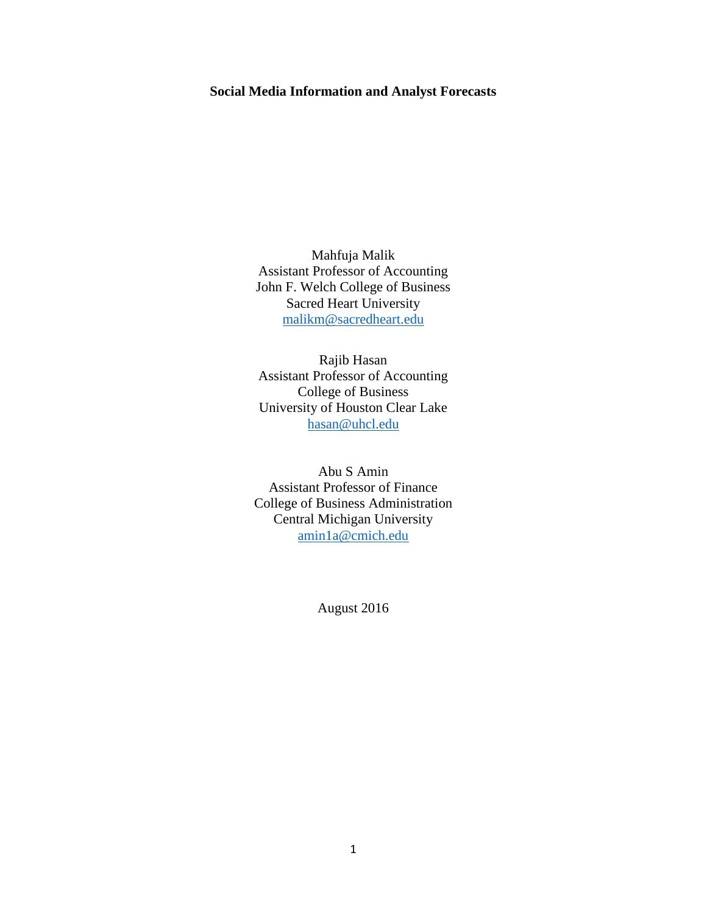# **Social Media Information and Analyst Forecasts**

Mahfuja Malik Assistant Professor of Accounting John F. Welch College of Business Sacred Heart University [malikm@sacredheart.edu](mailto:malikm@sacredheart.edu)

Rajib Hasan Assistant Professor of Accounting College of Business University of Houston Clear Lake [hasan@uhcl.edu](mailto:hasan@uhcl.edu)

Abu S Amin Assistant Professor of Finance College of Business Administration Central Michigan University [amin1a@cmich.edu](mailto:amin1a@cmich.edu)

August 2016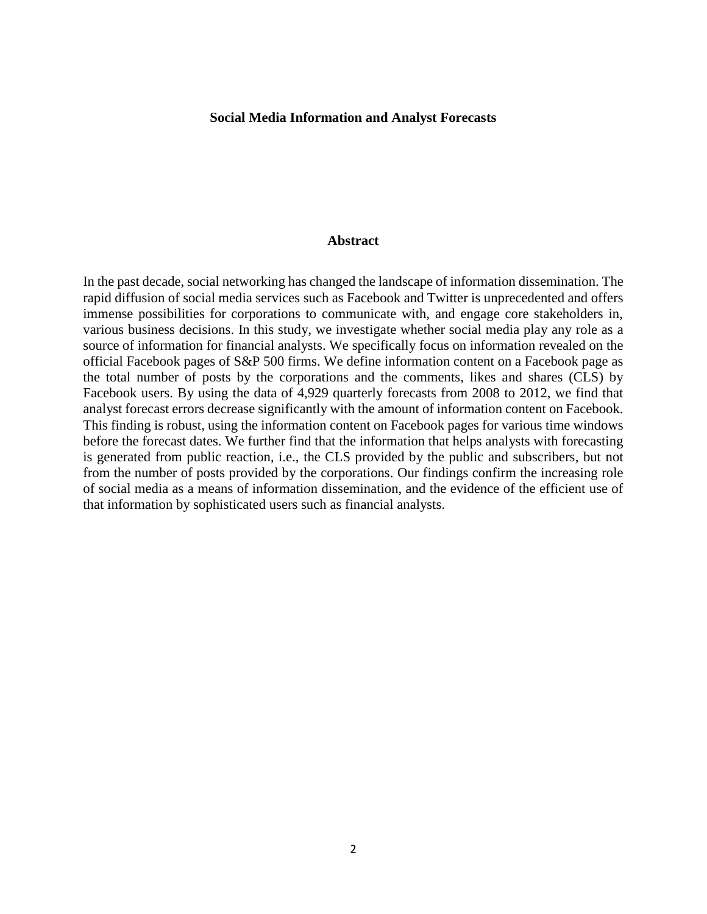#### **Social Media Information and Analyst Forecasts**

# **Abstract**

In the past decade, social networking has changed the landscape of information dissemination. The rapid diffusion of social media services such as Facebook and Twitter is unprecedented and offers immense possibilities for corporations to communicate with, and engage core stakeholders in, various business decisions. In this study, we investigate whether social media play any role as a source of information for financial analysts. We specifically focus on information revealed on the official Facebook pages of S&P 500 firms. We define information content on a Facebook page as the total number of posts by the corporations and the comments, likes and shares (CLS) by Facebook users. By using the data of 4,929 quarterly forecasts from 2008 to 2012, we find that analyst forecast errors decrease significantly with the amount of information content on Facebook. This finding is robust, using the information content on Facebook pages for various time windows before the forecast dates. We further find that the information that helps analysts with forecasting is generated from public reaction, i.e., the CLS provided by the public and subscribers, but not from the number of posts provided by the corporations. Our findings confirm the increasing role of social media as a means of information dissemination, and the evidence of the efficient use of that information by sophisticated users such as financial analysts.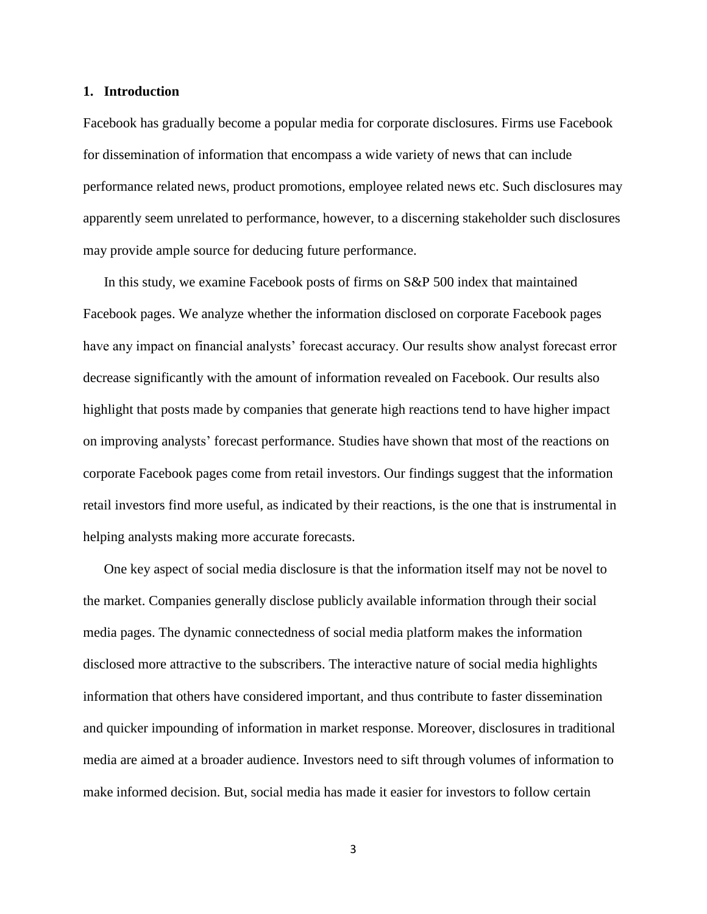# **1. Introduction**

Facebook has gradually become a popular media for corporate disclosures. Firms use Facebook for dissemination of information that encompass a wide variety of news that can include performance related news, product promotions, employee related news etc. Such disclosures may apparently seem unrelated to performance, however, to a discerning stakeholder such disclosures may provide ample source for deducing future performance.

In this study, we examine Facebook posts of firms on S&P 500 index that maintained Facebook pages. We analyze whether the information disclosed on corporate Facebook pages have any impact on financial analysts' forecast accuracy. Our results show analyst forecast error decrease significantly with the amount of information revealed on Facebook. Our results also highlight that posts made by companies that generate high reactions tend to have higher impact on improving analysts' forecast performance. Studies have shown that most of the reactions on corporate Facebook pages come from retail investors. Our findings suggest that the information retail investors find more useful, as indicated by their reactions, is the one that is instrumental in helping analysts making more accurate forecasts.

One key aspect of social media disclosure is that the information itself may not be novel to the market. Companies generally disclose publicly available information through their social media pages. The dynamic connectedness of social media platform makes the information disclosed more attractive to the subscribers. The interactive nature of social media highlights information that others have considered important, and thus contribute to faster dissemination and quicker impounding of information in market response. Moreover, disclosures in traditional media are aimed at a broader audience. Investors need to sift through volumes of information to make informed decision. But, social media has made it easier for investors to follow certain

3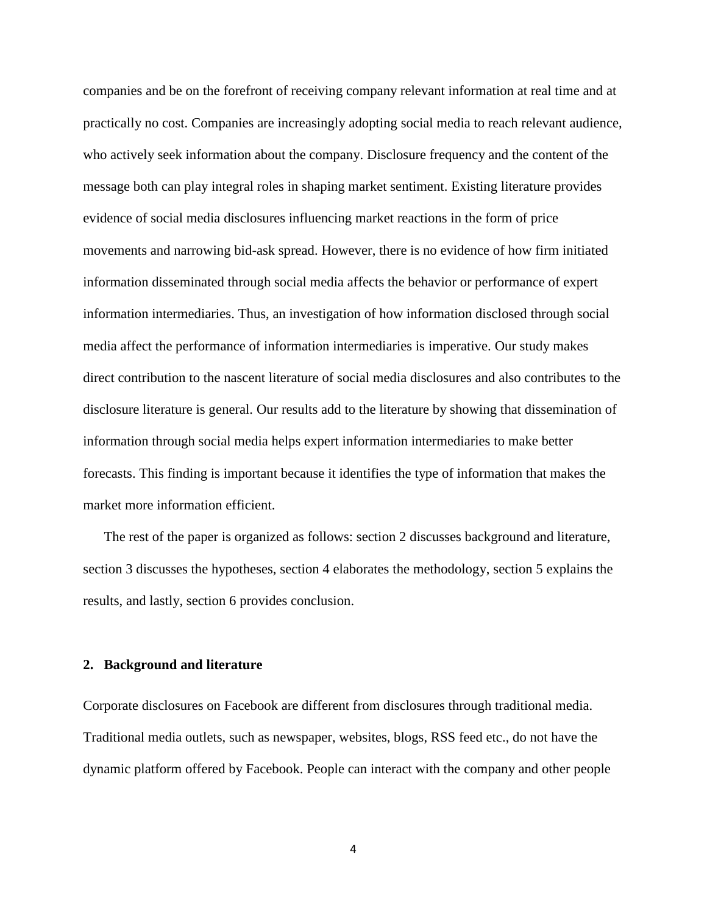companies and be on the forefront of receiving company relevant information at real time and at practically no cost. Companies are increasingly adopting social media to reach relevant audience, who actively seek information about the company. Disclosure frequency and the content of the message both can play integral roles in shaping market sentiment. Existing literature provides evidence of social media disclosures influencing market reactions in the form of price movements and narrowing bid-ask spread. However, there is no evidence of how firm initiated information disseminated through social media affects the behavior or performance of expert information intermediaries. Thus, an investigation of how information disclosed through social media affect the performance of information intermediaries is imperative. Our study makes direct contribution to the nascent literature of social media disclosures and also contributes to the disclosure literature is general. Our results add to the literature by showing that dissemination of information through social media helps expert information intermediaries to make better forecasts. This finding is important because it identifies the type of information that makes the market more information efficient.

The rest of the paper is organized as follows: section 2 discusses background and literature, section 3 discusses the hypotheses, section 4 elaborates the methodology, section 5 explains the results, and lastly, section 6 provides conclusion.

# **2. Background and literature**

Corporate disclosures on Facebook are different from disclosures through traditional media. Traditional media outlets, such as newspaper, websites, blogs, RSS feed etc., do not have the dynamic platform offered by Facebook. People can interact with the company and other people

4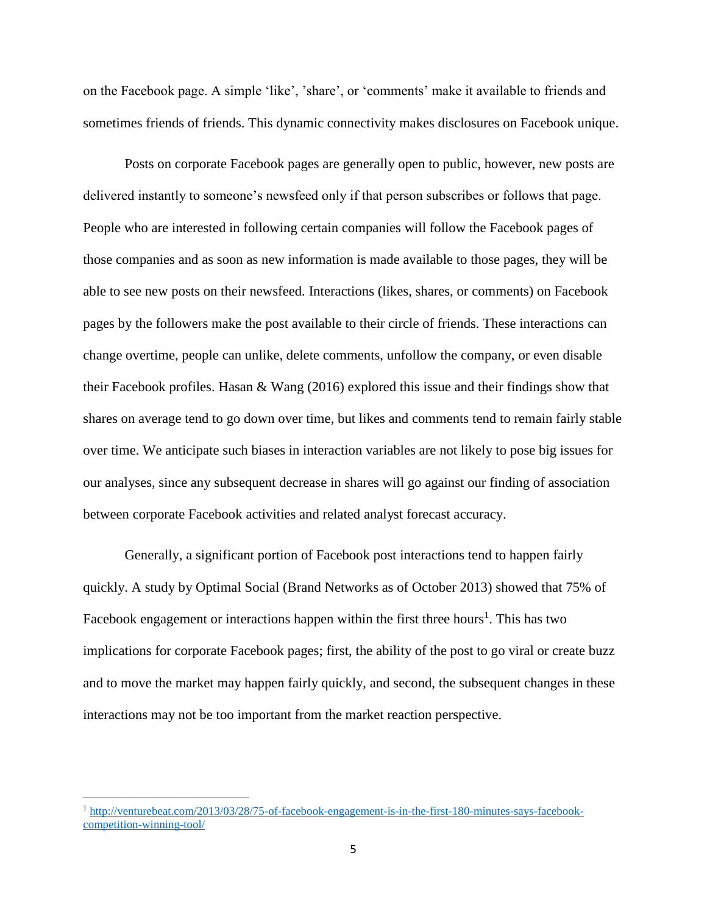on the Facebook page. A simple 'like', 'share', or 'comments' make it available to friends and sometimes friends of friends. This dynamic connectivity makes disclosures on Facebook unique.

Posts on corporate Facebook pages are generally open to public, however, new posts are delivered instantly to someone's newsfeed only if that person subscribes or follows that page. People who are interested in following certain companies will follow the Facebook pages of those companies and as soon as new information is made available to those pages, they will be able to see new posts on their newsfeed. Interactions (likes, shares, or comments) on Facebook pages by the followers make the post available to their circle of friends. These interactions can change overtime, people can unlike, delete comments, unfollow the company, or even disable their Facebook profiles. Hasan & Wang (2016) explored this issue and their findings show that shares on average tend to go down over time, but likes and comments tend to remain fairly stable over time. We anticipate such biases in interaction variables are not likely to pose big issues for our analyses, since any subsequent decrease in shares will go against our finding of association between corporate Facebook activities and related analyst forecast accuracy.

Generally, a significant portion of Facebook post interactions tend to happen fairly quickly. A study by Optimal Social (Brand Networks as of October 2013) showed that 75% of Facebook engagement or interactions happen within the first three hours<sup>1</sup>. This has two implications for corporate Facebook pages; first, the ability of the post to go viral or create buzz and to move the market may happen fairly quickly, and second, the subsequent changes in these interactions may not be too important from the market reaction perspective.

 $\overline{\phantom{a}}$ 

<sup>1</sup> [http://venturebeat.com/2013/03/28/75-of-facebook-engagement-is-in-the-first-180-minutes-says-facebook](http://venturebeat.com/2013/03/28/75-of-facebook-engagement-is-in-the-first-180-minutes-says-facebook-competition-winning-tool/)[competition-winning-tool/](http://venturebeat.com/2013/03/28/75-of-facebook-engagement-is-in-the-first-180-minutes-says-facebook-competition-winning-tool/)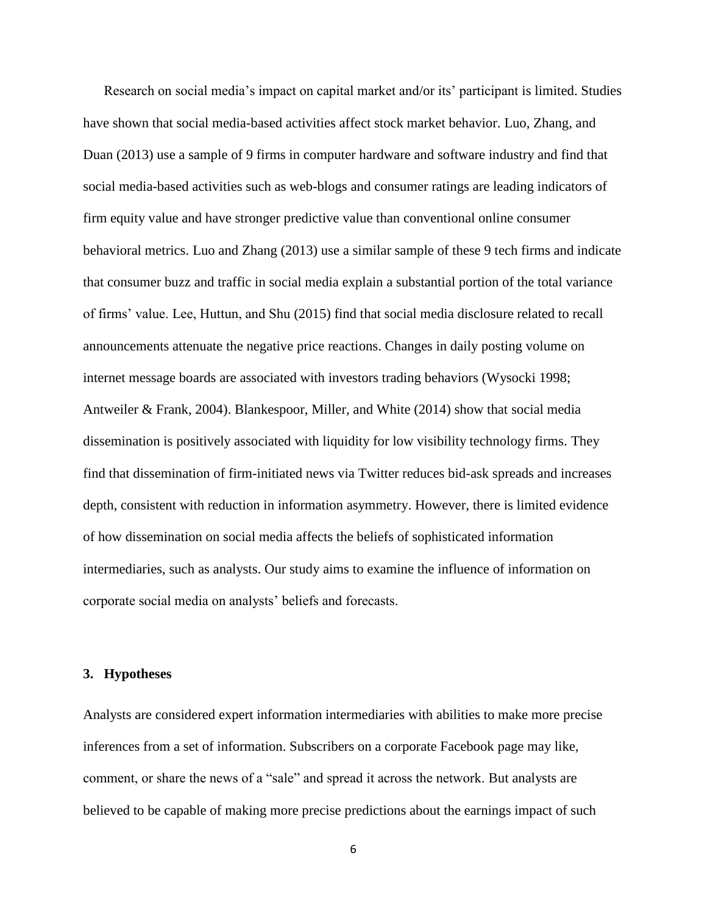Research on social media's impact on capital market and/or its' participant is limited. Studies have shown that social media-based activities affect stock market behavior. Luo, Zhang, and Duan (2013) use a sample of 9 firms in computer hardware and software industry and find that social media-based activities such as web-blogs and consumer ratings are leading indicators of firm equity value and have stronger predictive value than conventional online consumer behavioral metrics. Luo and Zhang (2013) use a similar sample of these 9 tech firms and indicate that consumer buzz and traffic in social media explain a substantial portion of the total variance of firms' value. Lee, Huttun, and Shu (2015) find that social media disclosure related to recall announcements attenuate the negative price reactions. Changes in daily posting volume on internet message boards are associated with investors trading behaviors (Wysocki 1998; Antweiler & Frank, 2004). Blankespoor, Miller, and White (2014) show that social media dissemination is positively associated with liquidity for low visibility technology firms. They find that dissemination of firm-initiated news via Twitter reduces bid-ask spreads and increases depth, consistent with reduction in information asymmetry. However, there is limited evidence of how dissemination on social media affects the beliefs of sophisticated information intermediaries, such as analysts. Our study aims to examine the influence of information on corporate social media on analysts' beliefs and forecasts.

# **3. Hypotheses**

Analysts are considered expert information intermediaries with abilities to make more precise inferences from a set of information. Subscribers on a corporate Facebook page may like, comment, or share the news of a "sale" and spread it across the network. But analysts are believed to be capable of making more precise predictions about the earnings impact of such

6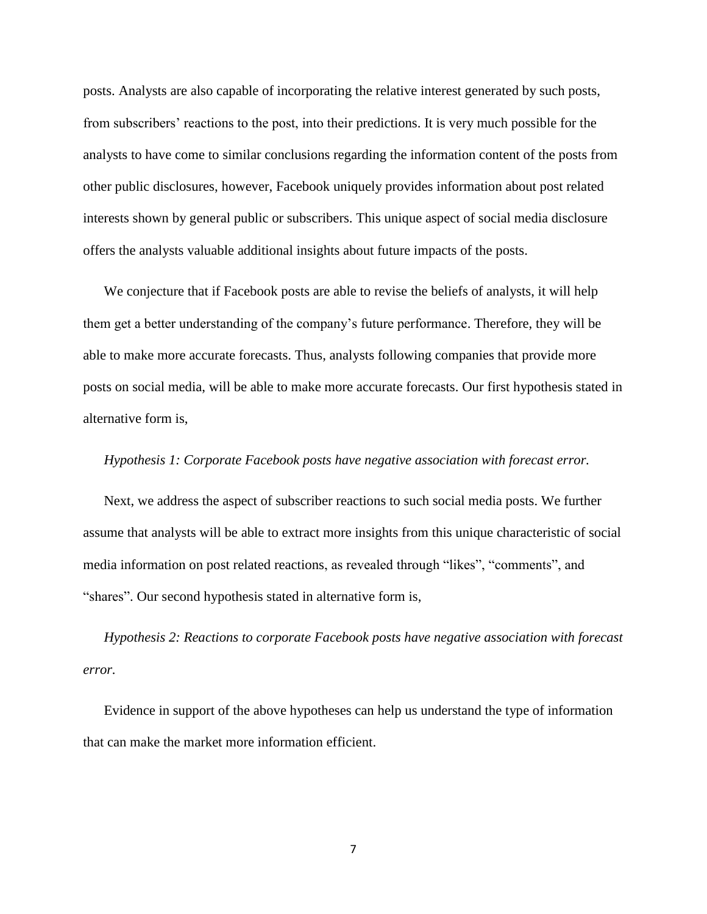posts. Analysts are also capable of incorporating the relative interest generated by such posts, from subscribers' reactions to the post, into their predictions. It is very much possible for the analysts to have come to similar conclusions regarding the information content of the posts from other public disclosures, however, Facebook uniquely provides information about post related interests shown by general public or subscribers. This unique aspect of social media disclosure offers the analysts valuable additional insights about future impacts of the posts.

We conjecture that if Facebook posts are able to revise the beliefs of analysts, it will help them get a better understanding of the company's future performance. Therefore, they will be able to make more accurate forecasts. Thus, analysts following companies that provide more posts on social media, will be able to make more accurate forecasts. Our first hypothesis stated in alternative form is,

#### *Hypothesis 1: Corporate Facebook posts have negative association with forecast error.*

Next, we address the aspect of subscriber reactions to such social media posts. We further assume that analysts will be able to extract more insights from this unique characteristic of social media information on post related reactions, as revealed through "likes", "comments", and "shares". Our second hypothesis stated in alternative form is,

*Hypothesis 2: Reactions to corporate Facebook posts have negative association with forecast error.* 

Evidence in support of the above hypotheses can help us understand the type of information that can make the market more information efficient.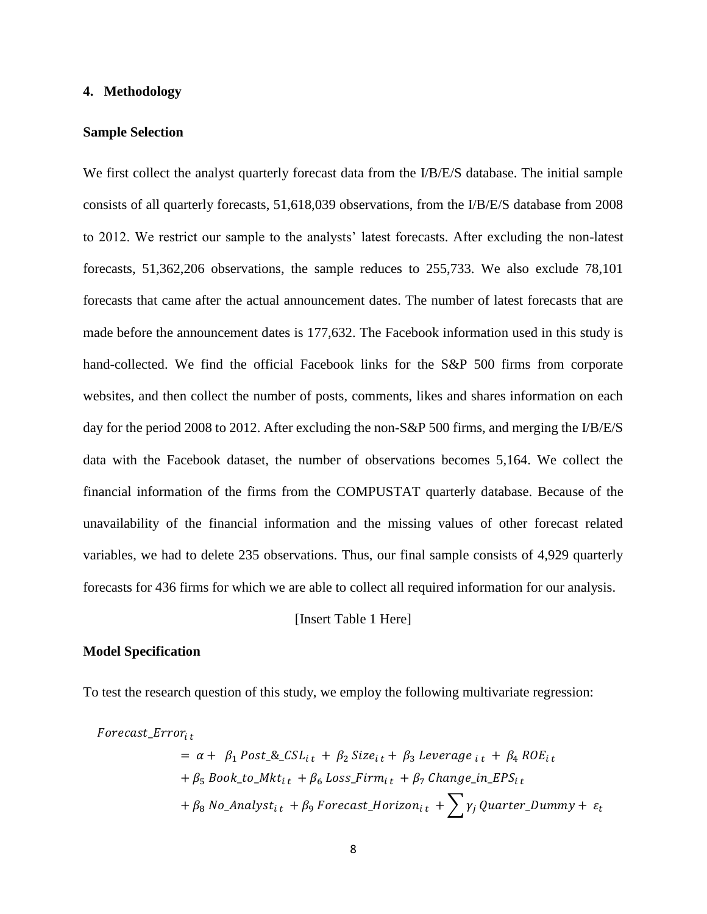# **4. Methodology**

# **Sample Selection**

We first collect the analyst quarterly forecast data from the I/B/E/S database. The initial sample consists of all quarterly forecasts, 51,618,039 observations, from the I/B/E/S database from 2008 to 2012. We restrict our sample to the analysts' latest forecasts. After excluding the non-latest forecasts, 51,362,206 observations, the sample reduces to 255,733. We also exclude 78,101 forecasts that came after the actual announcement dates. The number of latest forecasts that are made before the announcement dates is 177,632. The Facebook information used in this study is hand-collected. We find the official Facebook links for the S&P 500 firms from corporate websites, and then collect the number of posts, comments, likes and shares information on each day for the period 2008 to 2012. After excluding the non-S&P 500 firms, and merging the I/B/E/S data with the Facebook dataset, the number of observations becomes 5,164. We collect the financial information of the firms from the COMPUSTAT quarterly database. Because of the unavailability of the financial information and the missing values of other forecast related variables, we had to delete 235 observations. Thus, our final sample consists of 4,929 quarterly forecasts for 436 firms for which we are able to collect all required information for our analysis.

# [Insert Table 1 Here]

# **Model Specification**

To test the research question of this study, we employ the following multivariate regression:

$$
For ecast\_Error_{it}
$$
\n
$$
= \alpha + \beta_1 Post\_&CSL_{it} + \beta_2 Size_{it} + \beta_3 Leverage_{it} + \beta_4 ROE_{it}
$$
\n
$$
+ \beta_5 Book\_to\_Mkt_{it} + \beta_6 Loss\_Firm_{it} + \beta_7 Change\_in\_EPS_{it}
$$
\n
$$
+ \beta_8 No\_Analysis_{it} + \beta_9 Forecast\_Horizon_{it} + \sum \gamma_j Quarter\_Dummy + \varepsilon_t
$$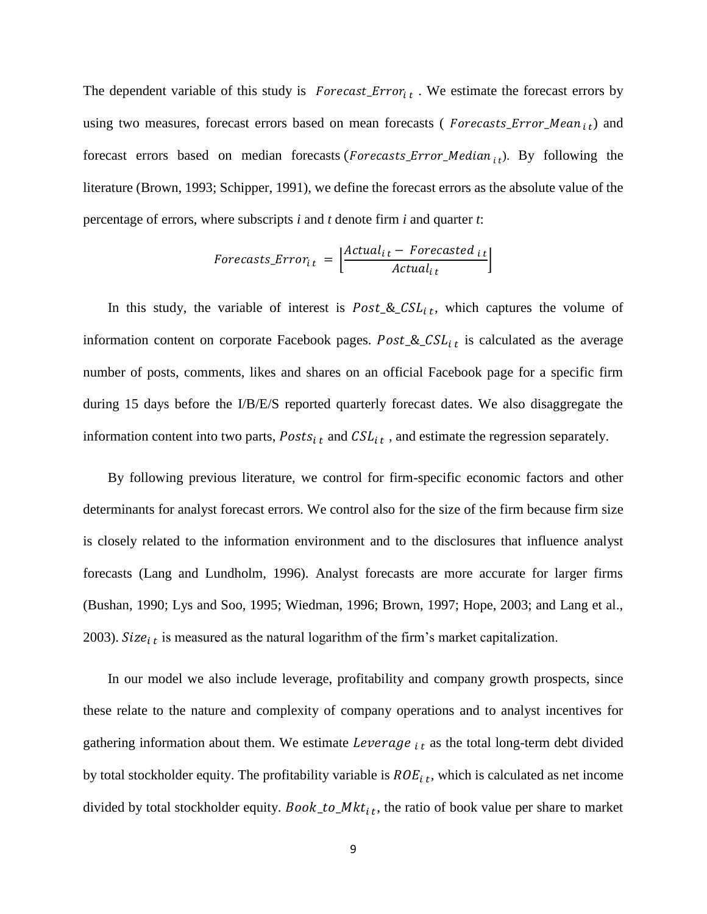The dependent variable of this study is  $For \text{ecast}\text{-}Error_{it}$ . We estimate the forecast errors by using two measures, forecast errors based on mean forecasts ( $For ecasts\_Error\_Mean_{it}$ ) and forecast errors based on median forecasts (Forecasts\_Error\_Median<sub>it</sub>). By following the literature (Brown, 1993; Schipper, 1991), we define the forecast errors as the absolute value of the percentage of errors, where subscripts *i* and *t* denote firm *i* and quarter *t*:

$$
For ecasts\_Error_{i t} = \left\lfloor \frac{Actual_{i t} - For e casted_{i t}}{Actual_{i t}} \right\rfloor
$$

In this study, the variable of interest is  $Post_{\&} \subseteq \text{SL}_{i,t}$ , which captures the volume of information content on corporate Facebook pages.  $Post_{\&}CSL_{i,t}$  is calculated as the average number of posts, comments, likes and shares on an official Facebook page for a specific firm during 15 days before the I/B/E/S reported quarterly forecast dates. We also disaggregate the information content into two parts,  $Posts_{i,t}$  and  $CSL_{i,t}$ , and estimate the regression separately.

By following previous literature, we control for firm-specific economic factors and other determinants for analyst forecast errors. We control also for the size of the firm because firm size is closely related to the information environment and to the disclosures that influence analyst forecasts (Lang and Lundholm, 1996). Analyst forecasts are more accurate for larger firms (Bushan, 1990; Lys and Soo, 1995; Wiedman, 1996; Brown, 1997; Hope, 2003; and Lang et al., 2003). Size<sub>it</sub> is measured as the natural logarithm of the firm's market capitalization.

In our model we also include leverage, profitability and company growth prospects, since these relate to the nature and complexity of company operations and to analyst incentives for gathering information about them. We estimate  $Leverage_{it}$  as the total long-term debt divided by total stockholder equity. The profitability variable is  $ROE_{i,t}$ , which is calculated as net income divided by total stockholder equity.  $Book\_to\_Mkt_{i,t}$ , the ratio of book value per share to market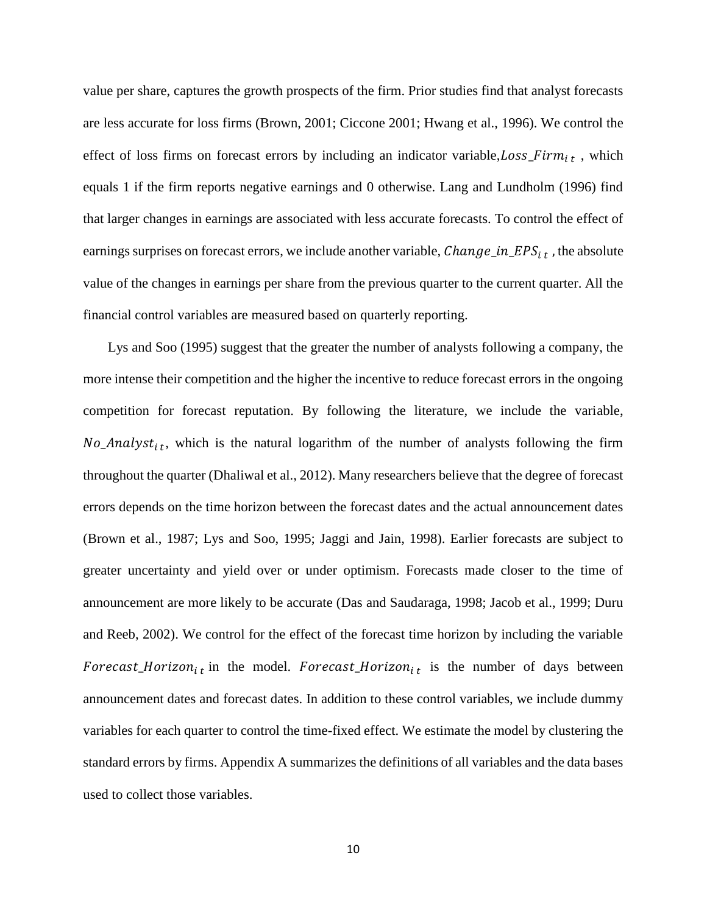value per share, captures the growth prospects of the firm. Prior studies find that analyst forecasts are less accurate for loss firms (Brown, 2001; Ciccone 2001; Hwang et al., 1996). We control the effect of loss firms on forecast errors by including an indicator variable,  $Loss\_{Firm_{i\,t}}$ , which equals 1 if the firm reports negative earnings and 0 otherwise. Lang and Lundholm (1996) find that larger changes in earnings are associated with less accurate forecasts. To control the effect of earnings surprises on forecast errors, we include another variable,  $Change\_in\_EPS_{i,t}$ , the absolute value of the changes in earnings per share from the previous quarter to the current quarter. All the financial control variables are measured based on quarterly reporting.

Lys and Soo (1995) suggest that the greater the number of analysts following a company, the more intense their competition and the higher the incentive to reduce forecast errors in the ongoing competition for forecast reputation. By following the literature, we include the variable, No\_Analyst<sub>it</sub>, which is the natural logarithm of the number of analysts following the firm throughout the quarter (Dhaliwal et al., 2012). Many researchers believe that the degree of forecast errors depends on the time horizon between the forecast dates and the actual announcement dates (Brown et al., 1987; Lys and Soo, 1995; Jaggi and Jain, 1998). Earlier forecasts are subject to greater uncertainty and yield over or under optimism. Forecasts made closer to the time of announcement are more likely to be accurate (Das and Saudaraga, 1998; Jacob et al., 1999; Duru and Reeb, 2002). We control for the effect of the forecast time horizon by including the variable Forecast\_Horizon<sub>it</sub> in the model. Forecast\_Horizon<sub>it</sub> is the number of days between announcement dates and forecast dates. In addition to these control variables, we include dummy variables for each quarter to control the time-fixed effect. We estimate the model by clustering the standard errors by firms. Appendix A summarizes the definitions of all variables and the data bases used to collect those variables.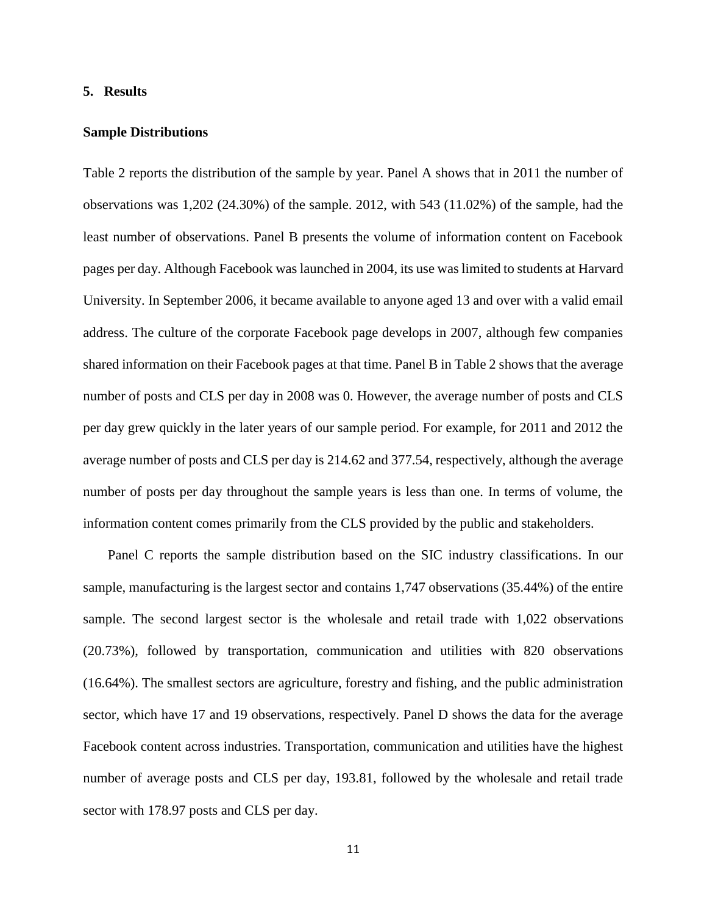#### **5. Results**

# **Sample Distributions**

Table 2 reports the distribution of the sample by year. Panel A shows that in 2011 the number of observations was 1,202 (24.30%) of the sample. 2012, with 543 (11.02%) of the sample, had the least number of observations. Panel B presents the volume of information content on Facebook pages per day. Although Facebook was launched in 2004, its use was limited to students at Harvard University. In September 2006, it became available to anyone aged 13 and over with a valid email address. The culture of the corporate Facebook page develops in 2007, although few companies shared information on their Facebook pages at that time. Panel B in Table 2 shows that the average number of posts and CLS per day in 2008 was 0. However, the average number of posts and CLS per day grew quickly in the later years of our sample period. For example, for 2011 and 2012 the average number of posts and CLS per day is 214.62 and 377.54, respectively, although the average number of posts per day throughout the sample years is less than one. In terms of volume, the information content comes primarily from the CLS provided by the public and stakeholders.

Panel C reports the sample distribution based on the SIC industry classifications. In our sample, manufacturing is the largest sector and contains 1,747 observations (35.44%) of the entire sample. The second largest sector is the wholesale and retail trade with 1,022 observations (20.73%), followed by transportation, communication and utilities with 820 observations (16.64%). The smallest sectors are agriculture, forestry and fishing, and the public administration sector, which have 17 and 19 observations, respectively. Panel D shows the data for the average Facebook content across industries. Transportation, communication and utilities have the highest number of average posts and CLS per day, 193.81, followed by the wholesale and retail trade sector with 178.97 posts and CLS per day.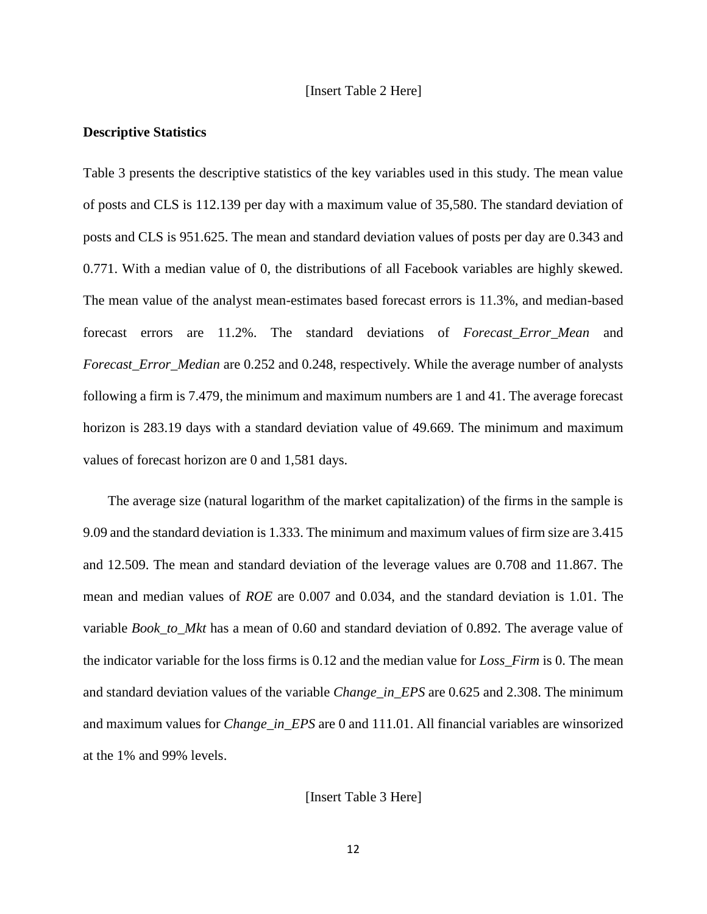#### [Insert Table 2 Here]

# **Descriptive Statistics**

Table 3 presents the descriptive statistics of the key variables used in this study. The mean value of posts and CLS is 112.139 per day with a maximum value of 35,580. The standard deviation of posts and CLS is 951.625. The mean and standard deviation values of posts per day are 0.343 and 0.771. With a median value of 0, the distributions of all Facebook variables are highly skewed. The mean value of the analyst mean-estimates based forecast errors is 11.3%, and median-based forecast errors are 11.2%. The standard deviations of *Forecast\_Error\_Mean* and *Forecast\_Error\_Median* are 0.252 and 0.248, respectively. While the average number of analysts following a firm is 7.479, the minimum and maximum numbers are 1 and 41. The average forecast horizon is 283.19 days with a standard deviation value of 49.669. The minimum and maximum values of forecast horizon are 0 and 1,581 days.

The average size (natural logarithm of the market capitalization) of the firms in the sample is 9.09 and the standard deviation is 1.333. The minimum and maximum values of firm size are 3.415 and 12.509. The mean and standard deviation of the leverage values are 0.708 and 11.867. The mean and median values of *ROE* are 0.007 and 0.034, and the standard deviation is 1.01. The variable *Book\_to\_Mkt* has a mean of 0.60 and standard deviation of 0.892. The average value of the indicator variable for the loss firms is 0.12 and the median value for *Loss\_Firm* is 0. The mean and standard deviation values of the variable *Change in EPS* are 0.625 and 2.308. The minimum and maximum values for *Change\_in\_EPS* are 0 and 111.01. All financial variables are winsorized at the 1% and 99% levels.

[Insert Table 3 Here]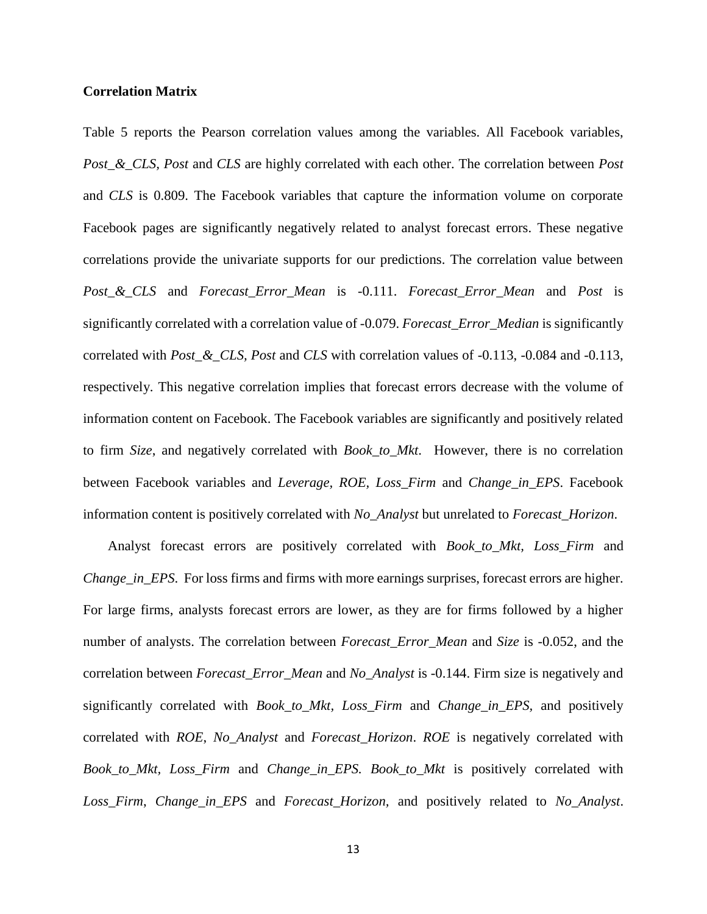# **Correlation Matrix**

Table 5 reports the Pearson correlation values among the variables. All Facebook variables, *Post\_&\_CLS, Post* and *CLS* are highly correlated with each other. The correlation between *Post*  and *CLS* is 0.809. The Facebook variables that capture the information volume on corporate Facebook pages are significantly negatively related to analyst forecast errors. These negative correlations provide the univariate supports for our predictions. The correlation value between *Post\_&\_CLS* and *Forecast\_Error\_Mean* is -0.111. *Forecast\_Error\_Mean* and *Post* is significantly correlated with a correlation value of -0.079. *Forecast\_Error\_Median* is significantly correlated with *Post\_&\_CLS, Post* and *CLS* with correlation values of -0.113, -0.084 and -0.113, respectively. This negative correlation implies that forecast errors decrease with the volume of information content on Facebook. The Facebook variables are significantly and positively related to firm *Size*, and negatively correlated with *Book\_to\_Mkt*. However, there is no correlation between Facebook variables and *Leverage, ROE, Loss\_Firm* and *Change\_in\_EPS*. Facebook information content is positively correlated with *No\_Analyst* but unrelated to *Forecast\_Horizon*.

Analyst forecast errors are positively correlated with *Book\_to\_Mkt, Loss\_Firm* and *Change in EPS.* For loss firms and firms with more earnings surprises, forecast errors are higher. For large firms, analysts forecast errors are lower, as they are for firms followed by a higher number of analysts. The correlation between *Forecast\_Error\_Mean* and *Size* is -0.052, and the correlation between *Forecast\_Error\_Mean* and *No\_Analyst* is -0.144. Firm size is negatively and significantly correlated with *Book\_to\_Mkt, Loss\_Firm* and *Change\_in\_EPS,* and positively correlated with *ROE*, *No\_Analyst* and *Forecast\_Horizon*. *ROE* is negatively correlated with *Book\_to\_Mkt, Loss\_Firm* and *Change\_in\_EPS. Book\_to\_Mkt* is positively correlated with *Loss\_Firm*, *Change\_in\_EPS* and *Forecast\_Horizon,* and positively related to *No\_Analyst*.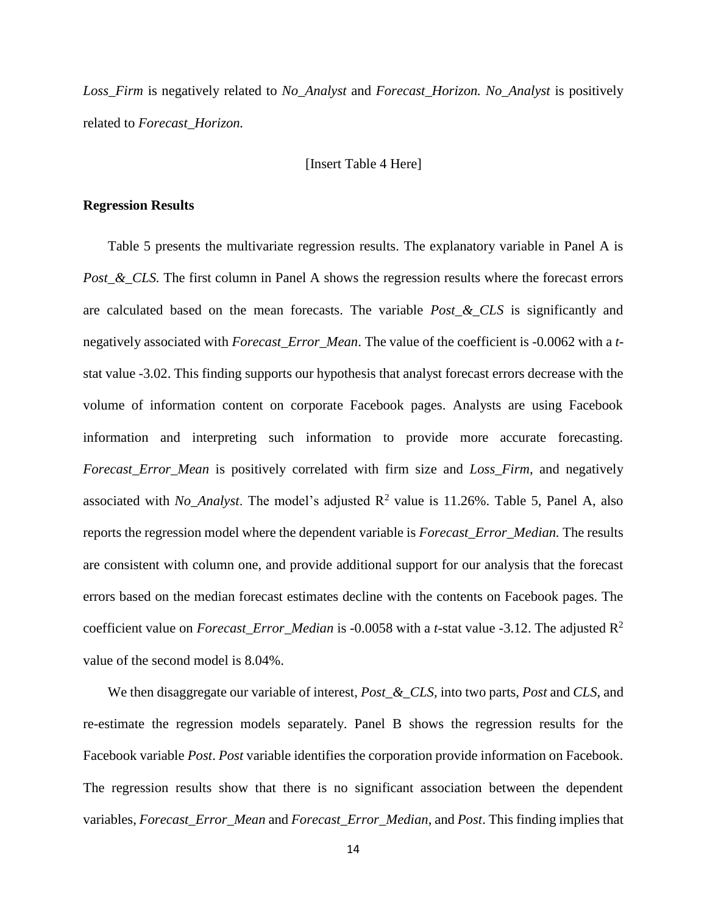*Loss\_Firm* is negatively related to *No\_Analyst* and *Forecast\_Horizon. No\_Analyst* is positively related to *Forecast\_Horizon.* 

# [Insert Table 4 Here]

# **Regression Results**

Table 5 presents the multivariate regression results. The explanatory variable in Panel A is *Post\_&\_CLS.* The first column in Panel A shows the regression results where the forecast errors are calculated based on the mean forecasts. The variable *Post\_&\_CLS* is significantly and negatively associated with *Forecast\_Error\_Mean*. The value of the coefficient is -0.0062 with a *t*stat value -3.02. This finding supports our hypothesis that analyst forecast errors decrease with the volume of information content on corporate Facebook pages. Analysts are using Facebook information and interpreting such information to provide more accurate forecasting. *Forecast\_Error\_Mean* is positively correlated with firm size and *Loss\_Firm*, and negatively associated with *No\_Analyst*. The model's adjusted  $R^2$  value is 11.26%. Table 5, Panel A, also reports the regression model where the dependent variable is *Forecast\_Error\_Median.* The results are consistent with column one, and provide additional support for our analysis that the forecast errors based on the median forecast estimates decline with the contents on Facebook pages. The coefficient value on *Forecast\_Error\_Median* is -0.0058 with a *t*-stat value -3.12. The adjusted R<sup>2</sup> value of the second model is 8.04%.

We then disaggregate our variable of interest, *Post\_&\_CLS,* into two parts, *Post* and *CLS*, and re-estimate the regression models separately. Panel B shows the regression results for the Facebook variable *Post*. *Post* variable identifies the corporation provide information on Facebook. The regression results show that there is no significant association between the dependent variables, *Forecast\_Error\_Mean* and *Forecast\_Error\_Median*, and *Post*. This finding implies that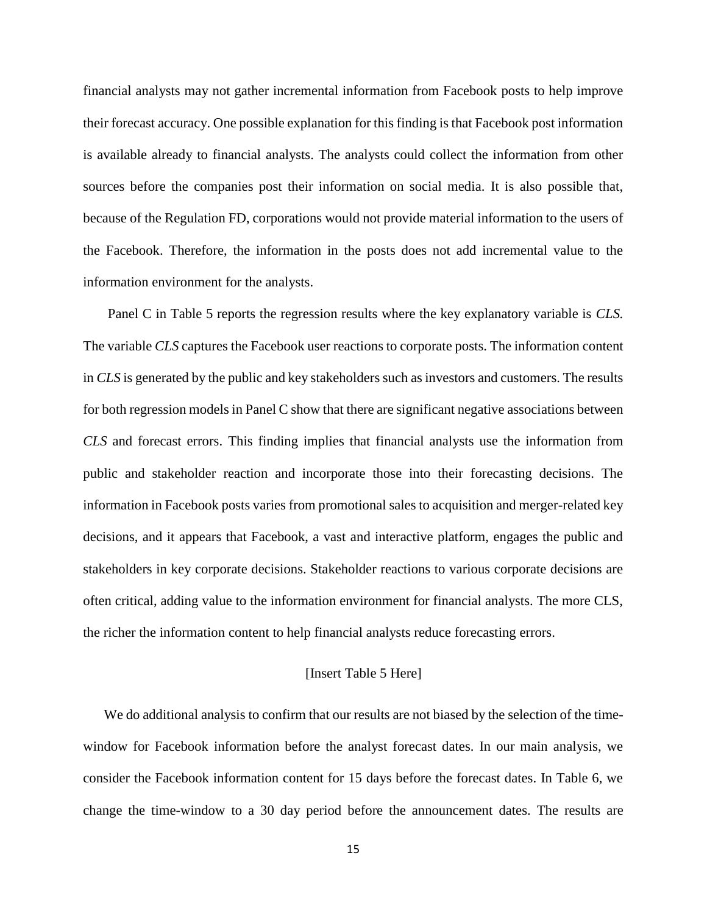financial analysts may not gather incremental information from Facebook posts to help improve their forecast accuracy. One possible explanation for this finding is that Facebook post information is available already to financial analysts. The analysts could collect the information from other sources before the companies post their information on social media. It is also possible that, because of the Regulation FD, corporations would not provide material information to the users of the Facebook. Therefore, the information in the posts does not add incremental value to the information environment for the analysts.

Panel C in Table 5 reports the regression results where the key explanatory variable is *CLS.*  The variable *CLS* captures the Facebook user reactions to corporate posts. The information content in *CLS* is generated by the public and key stakeholders such as investors and customers. The results for both regression models in Panel C show that there are significant negative associations between *CLS* and forecast errors. This finding implies that financial analysts use the information from public and stakeholder reaction and incorporate those into their forecasting decisions. The information in Facebook posts varies from promotional sales to acquisition and merger-related key decisions, and it appears that Facebook, a vast and interactive platform, engages the public and stakeholders in key corporate decisions. Stakeholder reactions to various corporate decisions are often critical, adding value to the information environment for financial analysts. The more CLS, the richer the information content to help financial analysts reduce forecasting errors.

# [Insert Table 5 Here]

We do additional analysis to confirm that our results are not biased by the selection of the timewindow for Facebook information before the analyst forecast dates. In our main analysis, we consider the Facebook information content for 15 days before the forecast dates. In Table 6, we change the time-window to a 30 day period before the announcement dates. The results are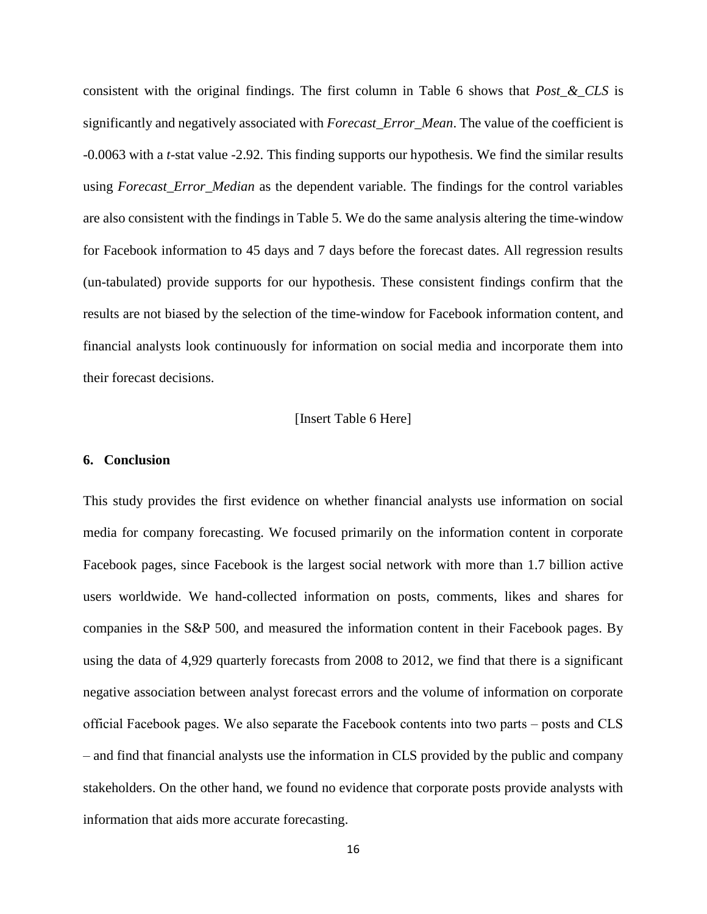consistent with the original findings. The first column in Table 6 shows that *Post\_&\_CLS* is significantly and negatively associated with *Forecast\_Error\_Mean*. The value of the coefficient is -0.0063 with a *t*-stat value -2.92. This finding supports our hypothesis. We find the similar results using *Forecast\_Error\_Median* as the dependent variable. The findings for the control variables are also consistent with the findings in Table 5. We do the same analysis altering the time-window for Facebook information to 45 days and 7 days before the forecast dates. All regression results (un-tabulated) provide supports for our hypothesis. These consistent findings confirm that the results are not biased by the selection of the time-window for Facebook information content, and financial analysts look continuously for information on social media and incorporate them into their forecast decisions.

# [Insert Table 6 Here]

# **6. Conclusion**

This study provides the first evidence on whether financial analysts use information on social media for company forecasting. We focused primarily on the information content in corporate Facebook pages, since Facebook is the largest social network with more than 1.7 billion active users worldwide. We hand-collected information on posts, comments, likes and shares for companies in the S&P 500, and measured the information content in their Facebook pages. By using the data of 4,929 quarterly forecasts from 2008 to 2012, we find that there is a significant negative association between analyst forecast errors and the volume of information on corporate official Facebook pages. We also separate the Facebook contents into two parts ‒ posts and CLS ‒ and find that financial analysts use the information in CLS provided by the public and company stakeholders. On the other hand, we found no evidence that corporate posts provide analysts with information that aids more accurate forecasting.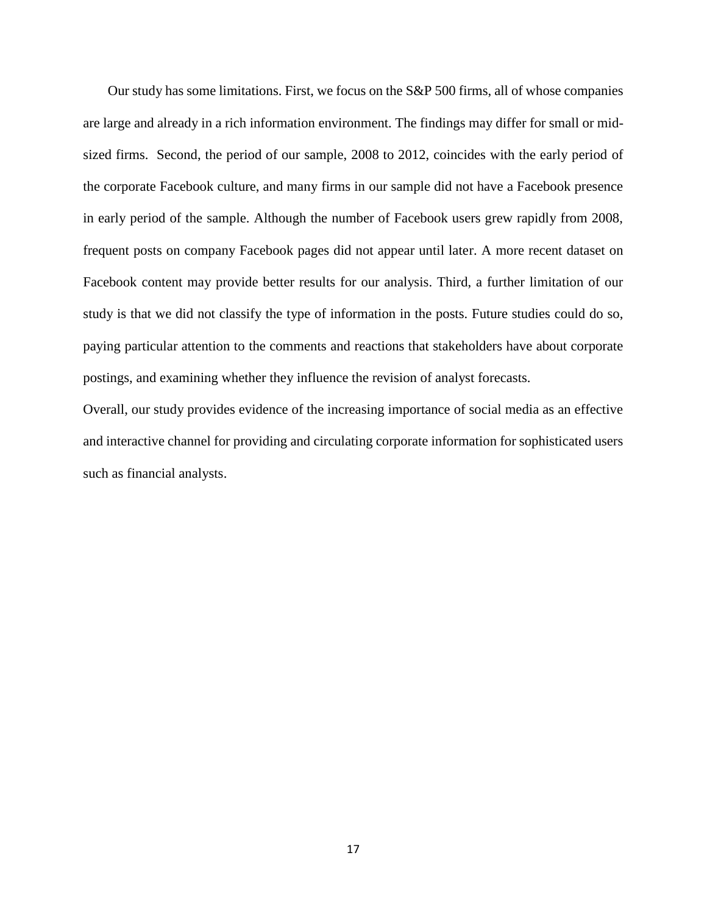Our study has some limitations. First, we focus on the S&P 500 firms, all of whose companies are large and already in a rich information environment. The findings may differ for small or midsized firms. Second, the period of our sample, 2008 to 2012, coincides with the early period of the corporate Facebook culture, and many firms in our sample did not have a Facebook presence in early period of the sample. Although the number of Facebook users grew rapidly from 2008, frequent posts on company Facebook pages did not appear until later. A more recent dataset on Facebook content may provide better results for our analysis. Third, a further limitation of our study is that we did not classify the type of information in the posts. Future studies could do so, paying particular attention to the comments and reactions that stakeholders have about corporate postings, and examining whether they influence the revision of analyst forecasts.

Overall, our study provides evidence of the increasing importance of social media as an effective and interactive channel for providing and circulating corporate information for sophisticated users such as financial analysts.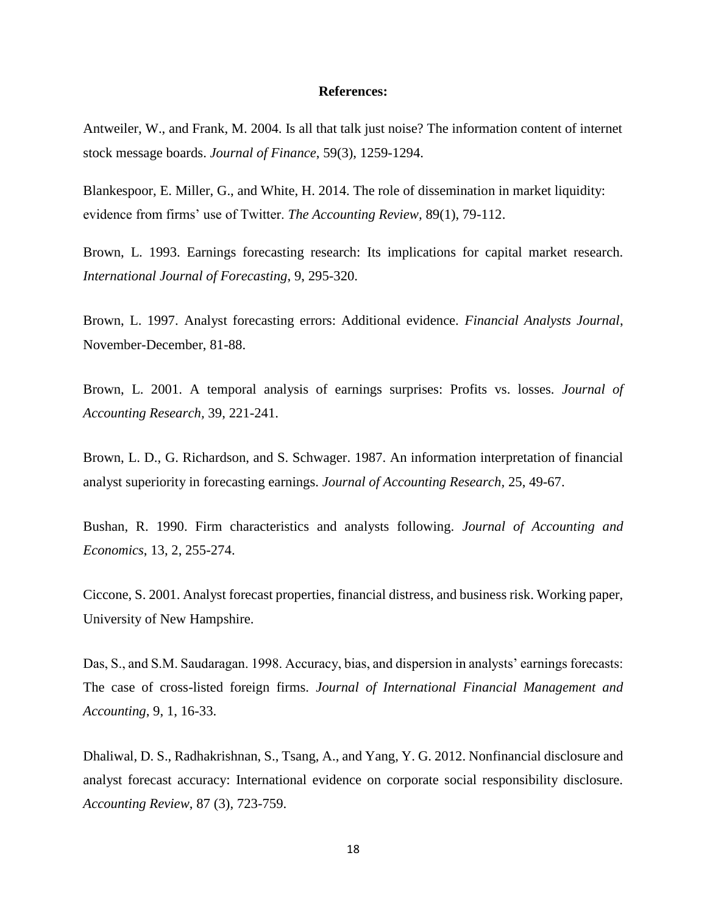## **References:**

Antweiler, W., and Frank, M. 2004. Is all that talk just noise? The information content of internet stock message boards. *Journal of Finance*, 59(3), 1259-1294.

Blankespoor, E. Miller, G., and White, H. 2014. The role of dissemination in market liquidity: evidence from firms' use of Twitter. *The Accounting Review,* 89(1), 79-112.

Brown, L. 1993. Earnings forecasting research: Its implications for capital market research. *International Journal of Forecasting*, 9, 295-320.

Brown, L. 1997. Analyst forecasting errors: Additional evidence. *Financial Analysts Journal*, November-December, 81-88.

Brown, L. 2001. A temporal analysis of earnings surprises: Profits vs. losses*. Journal of Accounting Research,* 39, 221-241.

Brown, L. D., G. Richardson, and S. Schwager. 1987. An information interpretation of financial analyst superiority in forecasting earnings. *Journal of Accounting Research,* 25, 49-67.

Bushan, R. 1990. Firm characteristics and analysts following. *Journal of Accounting and Economics*, 13, 2, 255-274.

Ciccone, S. 2001. Analyst forecast properties, financial distress, and business risk. Working paper, University of New Hampshire.

Das, S., and S.M. Saudaragan. 1998. Accuracy, bias, and dispersion in analysts' earnings forecasts: The case of cross-listed foreign firms. *Journal of International Financial Management and Accounting*, 9, 1, 16-33.

Dhaliwal, D. S., Radhakrishnan, S., Tsang, A., and Yang, Y. G. 2012. Nonfinancial disclosure and analyst forecast accuracy: International evidence on corporate social responsibility disclosure. *Accounting Review*, 87 (3), 723-759.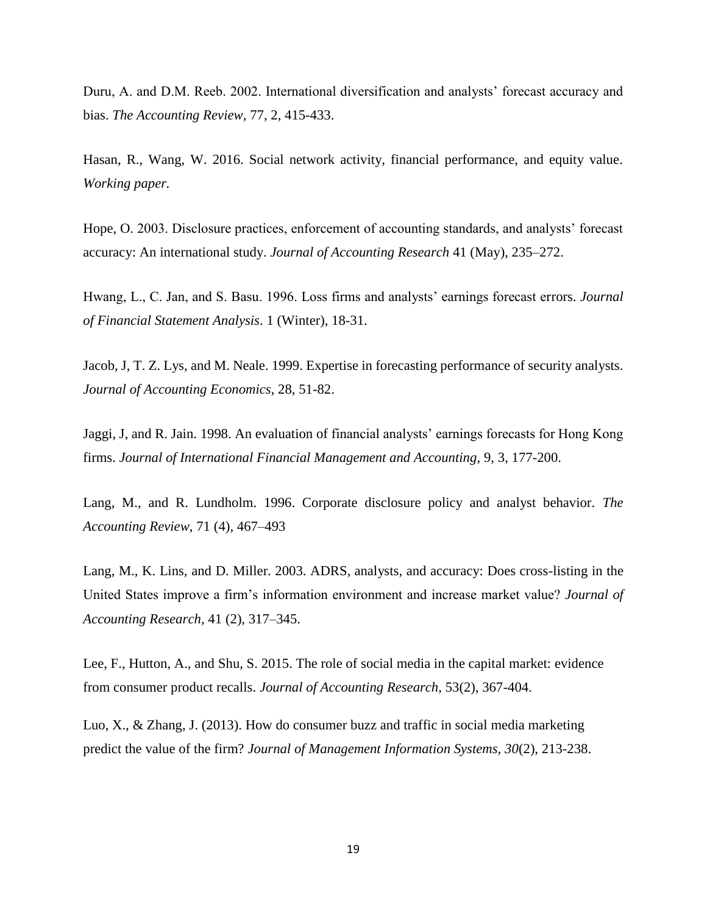Duru, A. and D.M. Reeb. 2002. International diversification and analysts' forecast accuracy and bias. *The Accounting Review*, 77, 2, 415-433.

Hasan, R., Wang, W. 2016. Social network activity, financial performance, and equity value. *Working paper.*

Hope, O. 2003. Disclosure practices, enforcement of accounting standards, and analysts' forecast accuracy: An international study. *Journal of Accounting Research* 41 (May), 235–272.

Hwang, L., C. Jan, and S. Basu. 1996. Loss firms and analysts' earnings forecast errors. *Journal of Financial Statement Analysis*. 1 (Winter), 18-31.

Jacob, J, T. Z. Lys, and M. Neale. 1999. Expertise in forecasting performance of security analysts. *Journal of Accounting Economics*, 28, 51-82.

Jaggi, J, and R. Jain. 1998. An evaluation of financial analysts' earnings forecasts for Hong Kong firms. *Journal of International Financial Management and Accounting*, 9, 3, 177-200.

Lang, M., and R. Lundholm. 1996. Corporate disclosure policy and analyst behavior. *The Accounting Review*, 71 (4), 467–493

Lang, M., K. Lins, and D. Miller. 2003. ADRS, analysts, and accuracy: Does cross-listing in the United States improve a firm's information environment and increase market value? *Journal of Accounting Research,* 41 (2), 317–345.

Lee, F., Hutton, A., and Shu, S. 2015. The role of social media in the capital market: evidence from consumer product recalls. *Journal of Accounting Research,* 53(2), 367-404.

Luo, X., & Zhang, J. (2013). How do consumer buzz and traffic in social media marketing predict the value of the firm? *Journal of Management Information Systems, 30*(2), 213-238.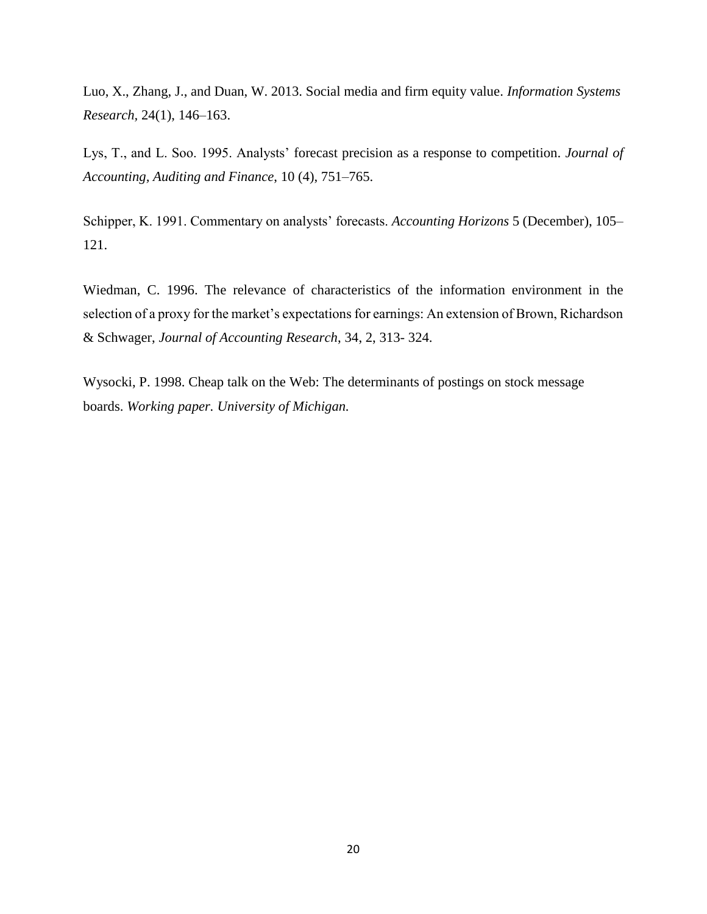Luo, X., Zhang, J., and Duan, W. 2013. Social media and firm equity value. *Information Systems Research,* 24(1), 146–163.

Lys, T., and L. Soo. 1995. Analysts' forecast precision as a response to competition. *Journal of Accounting, Auditing and Finance*, 10 (4), 751–765.

Schipper, K. 1991. Commentary on analysts' forecasts. *Accounting Horizons* 5 (December), 105– 121.

Wiedman, C. 1996. The relevance of characteristics of the information environment in the selection of a proxy for the market's expectations for earnings: An extension of Brown, Richardson & Schwager, *Journal of Accounting Research*, 34, 2, 313- 324.

Wysocki, P. 1998. Cheap talk on the Web: The determinants of postings on stock message boards. *Working paper. University of Michigan.*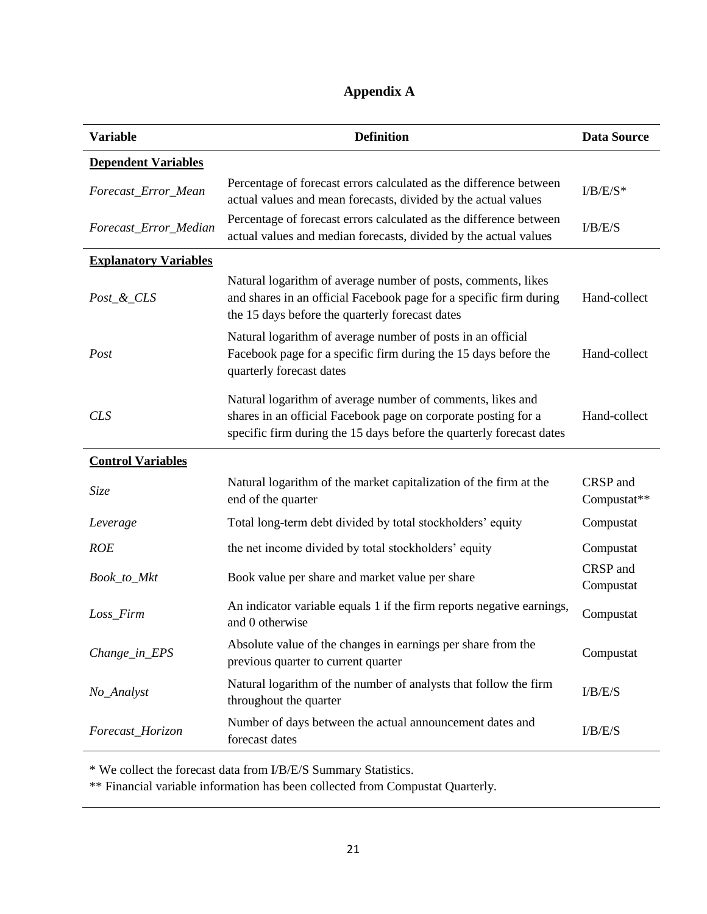| <b>Variable</b>              | <b>Definition</b>                                                                                                                                                                                    | <b>Data Source</b>      |
|------------------------------|------------------------------------------------------------------------------------------------------------------------------------------------------------------------------------------------------|-------------------------|
| <b>Dependent Variables</b>   |                                                                                                                                                                                                      |                         |
| Forecast_Error_Mean          | Percentage of forecast errors calculated as the difference between<br>actual values and mean forecasts, divided by the actual values                                                                 | $I/B/E/S^*$             |
| Forecast_Error_Median        | Percentage of forecast errors calculated as the difference between<br>actual values and median forecasts, divided by the actual values                                                               | I/B/E/S                 |
| <b>Explanatory Variables</b> |                                                                                                                                                                                                      |                         |
| $Post\_&CLS$                 | Natural logarithm of average number of posts, comments, likes<br>and shares in an official Facebook page for a specific firm during<br>the 15 days before the quarterly forecast dates               | Hand-collect            |
| Post                         | Natural logarithm of average number of posts in an official<br>Facebook page for a specific firm during the 15 days before the<br>quarterly forecast dates                                           | Hand-collect            |
| <b>CLS</b>                   | Natural logarithm of average number of comments, likes and<br>shares in an official Facebook page on corporate posting for a<br>specific firm during the 15 days before the quarterly forecast dates | Hand-collect            |
| <b>Control Variables</b>     |                                                                                                                                                                                                      |                         |
| <i>Size</i>                  | Natural logarithm of the market capitalization of the firm at the<br>end of the quarter                                                                                                              | CRSP and<br>Compustat** |
| Leverage                     | Total long-term debt divided by total stockholders' equity                                                                                                                                           | Compustat               |
| <b>ROE</b>                   | the net income divided by total stockholders' equity                                                                                                                                                 | Compustat               |
| Book_to_Mkt                  | Book value per share and market value per share                                                                                                                                                      | CRSP and<br>Compustat   |
| Loss_Firm                    | An indicator variable equals 1 if the firm reports negative earnings,<br>and 0 otherwise                                                                                                             | Compustat               |
| Change_in_EPS                | Absolute value of the changes in earnings per share from the<br>previous quarter to current quarter                                                                                                  | Compustat               |
| No_Analyst                   | Natural logarithm of the number of analysts that follow the firm<br>throughout the quarter                                                                                                           | I/B/E/S                 |
| Forecast_Horizon             | Number of days between the actual announcement dates and<br>forecast dates                                                                                                                           | I/B/E/S                 |

# **Appendix A**

\* We collect the forecast data from I/B/E/S Summary Statistics.

\*\* Financial variable information has been collected from Compustat Quarterly.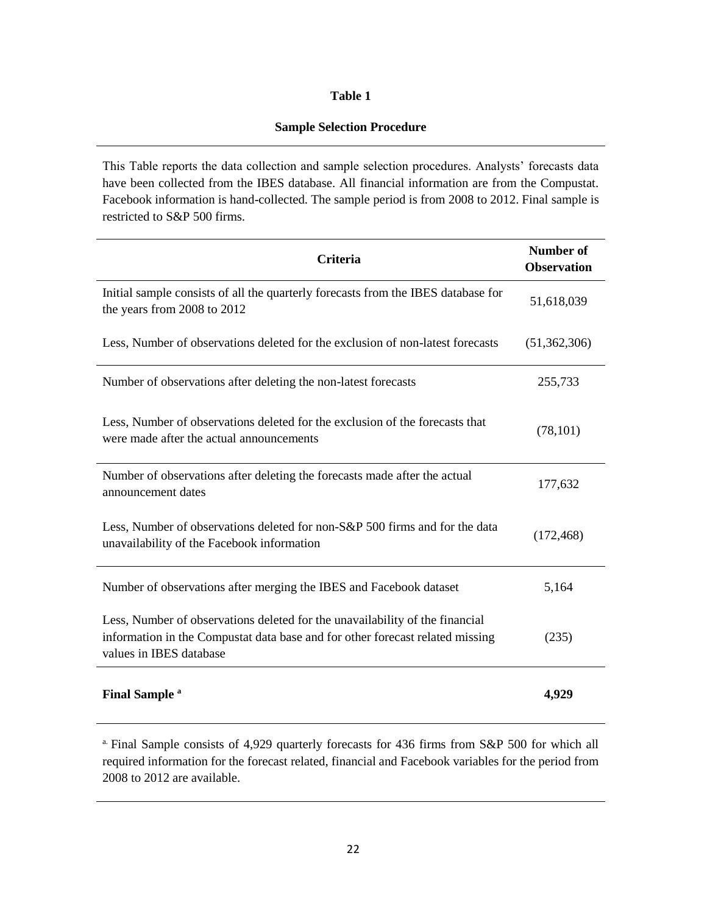# **Sample Selection Procedure**

This Table reports the data collection and sample selection procedures. Analysts' forecasts data have been collected from the IBES database. All financial information are from the Compustat. Facebook information is hand-collected. The sample period is from 2008 to 2012. Final sample is restricted to S&P 500 firms.

| <b>Criteria</b>                                                                                                                                                                          | <b>Number of</b><br><b>Observation</b> |
|------------------------------------------------------------------------------------------------------------------------------------------------------------------------------------------|----------------------------------------|
| Initial sample consists of all the quarterly forecasts from the IBES database for<br>the years from 2008 to 2012                                                                         | 51,618,039                             |
| Less, Number of observations deleted for the exclusion of non-latest forecasts                                                                                                           | (51, 362, 306)                         |
| Number of observations after deleting the non-latest forecasts                                                                                                                           | 255,733                                |
| Less, Number of observations deleted for the exclusion of the forecasts that<br>were made after the actual announcements                                                                 | (78, 101)                              |
| Number of observations after deleting the forecasts made after the actual<br>announcement dates                                                                                          | 177,632                                |
| Less, Number of observations deleted for non-S&P 500 firms and for the data<br>unavailability of the Facebook information                                                                | (172, 468)                             |
| Number of observations after merging the IBES and Facebook dataset                                                                                                                       | 5,164                                  |
| Less, Number of observations deleted for the unavailability of the financial<br>information in the Compustat data base and for other forecast related missing<br>values in IBES database | (235)                                  |
| <b>Final Sample</b> <sup>a</sup>                                                                                                                                                         | 4,929                                  |

<sup>a.</sup> Final Sample consists of 4,929 quarterly forecasts for 436 firms from S&P 500 for which all required information for the forecast related, financial and Facebook variables for the period from 2008 to 2012 are available.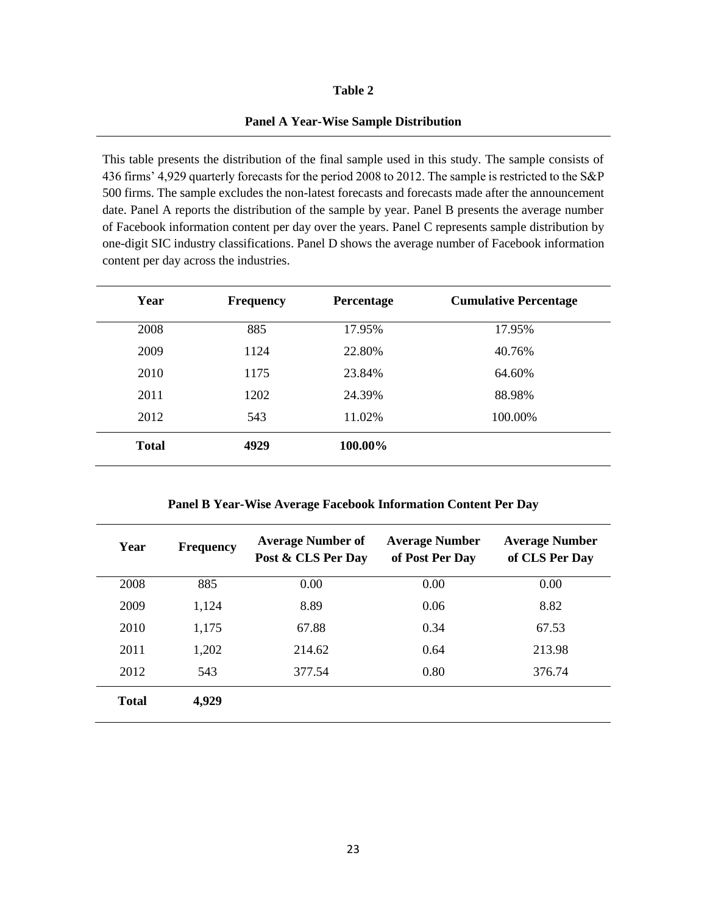# **Panel A Year-Wise Sample Distribution**

This table presents the distribution of the final sample used in this study. The sample consists of 436 firms' 4,929 quarterly forecasts for the period 2008 to 2012. The sample is restricted to the S&P 500 firms. The sample excludes the non-latest forecasts and forecasts made after the announcement date. Panel A reports the distribution of the sample by year. Panel B presents the average number of Facebook information content per day over the years. Panel C represents sample distribution by one-digit SIC industry classifications. Panel D shows the average number of Facebook information content per day across the industries.

| Year         | <b>Frequency</b> | Percentage | <b>Cumulative Percentage</b> |
|--------------|------------------|------------|------------------------------|
| 2008         | 885              | 17.95%     | 17.95%                       |
| 2009         | 1124             | 22.80%     | 40.76%                       |
| 2010         | 1175             | 23.84%     | 64.60%                       |
| 2011         | 1202             | 24.39%     | 88.98%                       |
| 2012         | 543              | 11.02%     | 100.00%                      |
| <b>Total</b> | 4929             | 100.00%    |                              |

**Panel B Year-Wise Average Facebook Information Content Per Day**

| Year         | <b>Frequency</b> | <b>Average Number of</b><br>Post & CLS Per Day | <b>Average Number</b><br>of Post Per Day | <b>Average Number</b><br>of CLS Per Day |
|--------------|------------------|------------------------------------------------|------------------------------------------|-----------------------------------------|
| 2008         | 885              | 0.00                                           | 0.00                                     | 0.00                                    |
| 2009         | 1,124            | 8.89                                           | 0.06                                     | 8.82                                    |
| 2010         | 1,175            | 67.88                                          | 0.34                                     | 67.53                                   |
| 2011         | 1,202            | 214.62                                         | 0.64                                     | 213.98                                  |
| 2012         | 543              | 377.54                                         | 0.80                                     | 376.74                                  |
| <b>Total</b> | 4,929            |                                                |                                          |                                         |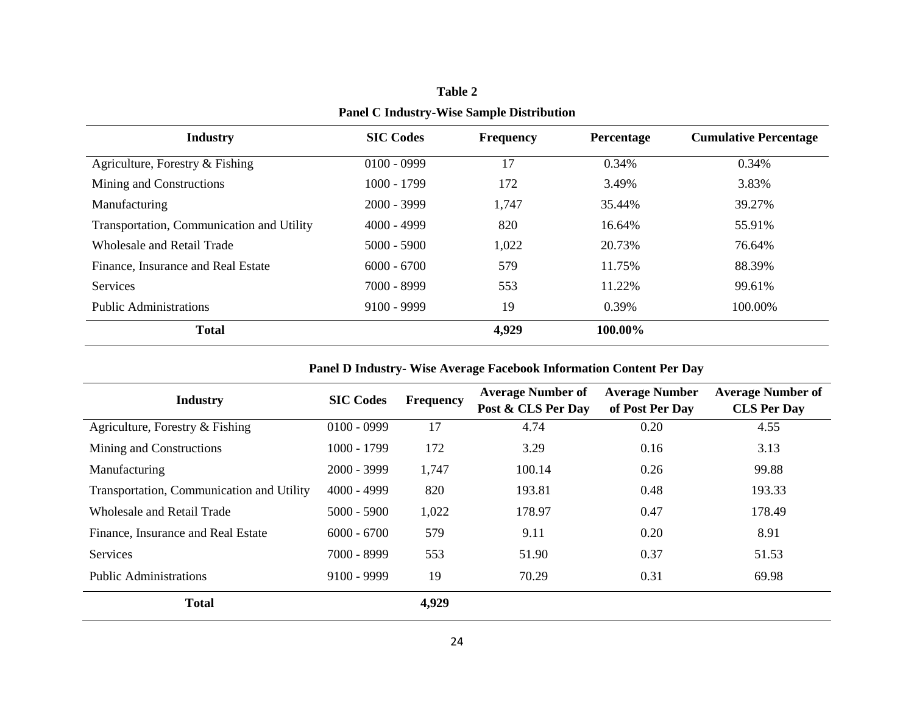| <b>Industry</b>                           | <b>SIC Codes</b> | <b>Frequency</b> | Percentage | <b>Cumulative Percentage</b> |
|-------------------------------------------|------------------|------------------|------------|------------------------------|
| Agriculture, Forestry & Fishing           | $0100 - 0999$    | 17               | 0.34%      | 0.34%                        |
| Mining and Constructions                  | 1000 - 1799      | 172              | 3.49%      | 3.83%                        |
| Manufacturing                             | $2000 - 3999$    | 1,747            | 35.44%     | 39.27%                       |
| Transportation, Communication and Utility | $4000 - 4999$    | 820              | 16.64%     | 55.91%                       |
| Wholesale and Retail Trade                | $5000 - 5900$    | 1,022            | 20.73%     | 76.64%                       |
| Finance, Insurance and Real Estate        | $6000 - 6700$    | 579              | 11.75%     | 88.39%                       |
| <b>Services</b>                           | 7000 - 8999      | 553              | 11.22%     | 99.61%                       |
| <b>Public Administrations</b>             | $9100 - 9999$    | 19               | 0.39%      | 100.00%                      |
| <b>Total</b>                              |                  | 4,929            | 100.00%    |                              |

**Table 2 Panel C Industry-Wise Sample Distribution**

|                                           |                  |                  | Panel D Industry- Wise Average Facebook Information Content Per Day |                                          |                                                |
|-------------------------------------------|------------------|------------------|---------------------------------------------------------------------|------------------------------------------|------------------------------------------------|
| <b>Industry</b>                           | <b>SIC Codes</b> | <b>Frequency</b> | <b>Average Number of</b><br>Post & CLS Per Day                      | <b>Average Number</b><br>of Post Per Day | <b>Average Number of</b><br><b>CLS Per Day</b> |
| Agriculture, Forestry & Fishing           | $0100 - 0999$    | 17               | 4.74                                                                | 0.20                                     | 4.55                                           |
| Mining and Constructions                  | 1000 - 1799      | 172              | 3.29                                                                | 0.16                                     | 3.13                                           |
| Manufacturing                             | $2000 - 3999$    | 1,747            | 100.14                                                              | 0.26                                     | 99.88                                          |
| Transportation, Communication and Utility | $4000 - 4999$    | 820              | 193.81                                                              | 0.48                                     | 193.33                                         |
| <b>Wholesale and Retail Trade</b>         | $5000 - 5900$    | 1,022            | 178.97                                                              | 0.47                                     | 178.49                                         |
| Finance, Insurance and Real Estate        | $6000 - 6700$    | 579              | 9.11                                                                | 0.20                                     | 8.91                                           |
| Services                                  | 7000 - 8999      | 553              | 51.90                                                               | 0.37                                     | 51.53                                          |
| <b>Public Administrations</b>             | $9100 - 9999$    | 19               | 70.29                                                               | 0.31                                     | 69.98                                          |
| <b>Total</b>                              |                  | 4,929            |                                                                     |                                          |                                                |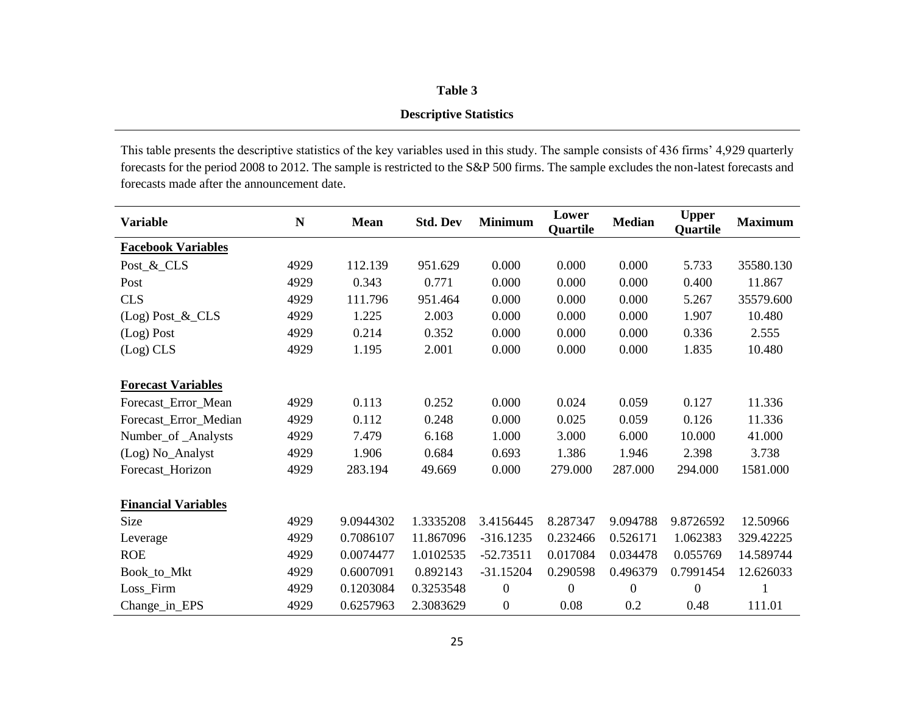# **Descriptive Statistics**

This table presents the descriptive statistics of the key variables used in this study. The sample consists of 436 firms' 4,929 quarterly forecasts for the period 2008 to 2012. The sample is restricted to the S&P 500 firms. The sample excludes the non-latest forecasts and forecasts made after the announcement date.

| <b>Variable</b>            | N    | <b>Mean</b> | <b>Std. Dev</b> | <b>Minimum</b>   | Lower<br>Quartile | <b>Median</b>    | <b>Upper</b><br>Quartile | <b>Maximum</b> |
|----------------------------|------|-------------|-----------------|------------------|-------------------|------------------|--------------------------|----------------|
| <b>Facebook Variables</b>  |      |             |                 |                  |                   |                  |                          |                |
| Post_&_CLS                 | 4929 | 112.139     | 951.629         | 0.000            | 0.000             | 0.000            | 5.733                    | 35580.130      |
| Post                       | 4929 | 0.343       | 0.771           | 0.000            | 0.000             | 0.000            | 0.400                    | 11.867         |
| <b>CLS</b>                 | 4929 | 111.796     | 951.464         | 0.000            | 0.000             | 0.000            | 5.267                    | 35579.600      |
| (Log) Post_&_CLS           | 4929 | 1.225       | 2.003           | 0.000            | 0.000             | 0.000            | 1.907                    | 10.480         |
| (Log) Post                 | 4929 | 0.214       | 0.352           | 0.000            | 0.000             | 0.000            | 0.336                    | 2.555          |
| (Log) CLS                  | 4929 | 1.195       | 2.001           | 0.000            | 0.000             | 0.000            | 1.835                    | 10.480         |
|                            |      |             |                 |                  |                   |                  |                          |                |
| <b>Forecast Variables</b>  |      |             |                 |                  |                   |                  |                          |                |
| Forecast_Error_Mean        | 4929 | 0.113       | 0.252           | 0.000            | 0.024             | 0.059            | 0.127                    | 11.336         |
| Forecast_Error_Median      | 4929 | 0.112       | 0.248           | 0.000            | 0.025             | 0.059            | 0.126                    | 11.336         |
| Number_of _Analysts        | 4929 | 7.479       | 6.168           | 1.000            | 3.000             | 6.000            | 10.000                   | 41.000         |
| (Log) No_Analyst           | 4929 | 1.906       | 0.684           | 0.693            | 1.386             | 1.946            | 2.398                    | 3.738          |
| Forecast_Horizon           | 4929 | 283.194     | 49.669          | 0.000            | 279.000           | 287.000          | 294.000                  | 1581.000       |
| <b>Financial Variables</b> |      |             |                 |                  |                   |                  |                          |                |
| Size                       | 4929 | 9.0944302   | 1.3335208       | 3.4156445        | 8.287347          | 9.094788         | 9.8726592                | 12.50966       |
| Leverage                   | 4929 | 0.7086107   | 11.867096       | $-316.1235$      | 0.232466          | 0.526171         | 1.062383                 | 329.42225      |
| <b>ROE</b>                 | 4929 | 0.0074477   | 1.0102535       | $-52.73511$      | 0.017084          | 0.034478         | 0.055769                 | 14.589744      |
| Book_to_Mkt                | 4929 | 0.6007091   | 0.892143        | $-31.15204$      | 0.290598          | 0.496379         | 0.7991454                | 12.626033      |
| Loss_Firm                  | 4929 | 0.1203084   | 0.3253548       | $\boldsymbol{0}$ | $\boldsymbol{0}$  | $\boldsymbol{0}$ | $\boldsymbol{0}$         |                |
| Change_in_EPS              | 4929 | 0.6257963   | 2.3083629       | $\boldsymbol{0}$ | 0.08              | 0.2              | 0.48                     | 111.01         |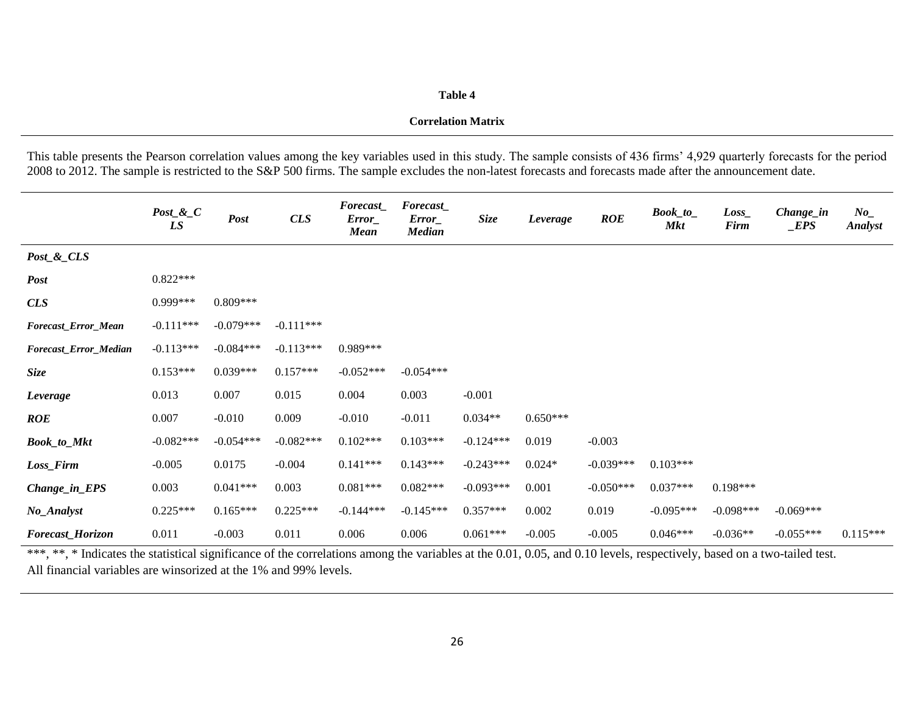#### **Correlation Matrix**

This table presents the Pearson correlation values among the key variables used in this study. The sample consists of 436 firms' 4,929 quarterly forecasts for the period 2008 to 2012. The sample is restricted to the S&P 500 firms. The sample excludes the non-latest forecasts and forecasts made after the announcement date.

|                          | $Post\_&C$<br>LS | Post        | CLS         | Forecast_<br>$Error_{-}$<br><b>Mean</b> | Forecast_<br>Error_<br><b>Median</b> | Size        | Leverage   | <b>ROE</b>  | $Book\_to$<br><b>Mkt</b> | $Loss_{-}$<br>Firm | Change_in<br>EPS | $No_$<br><b>Analyst</b> |
|--------------------------|------------------|-------------|-------------|-----------------------------------------|--------------------------------------|-------------|------------|-------------|--------------------------|--------------------|------------------|-------------------------|
| $Post\_&$ <sub>CLS</sub> |                  |             |             |                                         |                                      |             |            |             |                          |                    |                  |                         |
| <b>Post</b>              | $0.822***$       |             |             |                                         |                                      |             |            |             |                          |                    |                  |                         |
| CLS                      | $0.999***$       | $0.809***$  |             |                                         |                                      |             |            |             |                          |                    |                  |                         |
| Forecast_Error_Mean      | $-0.111***$      | $-0.079***$ | $-0.111***$ |                                         |                                      |             |            |             |                          |                    |                  |                         |
| Forecast_Error_Median    | $-0.113***$      | $-0.084***$ | $-0.113***$ | $0.989***$                              |                                      |             |            |             |                          |                    |                  |                         |
| Size                     | $0.153***$       | $0.039***$  | $0.157***$  | $-0.052***$                             | $-0.054***$                          |             |            |             |                          |                    |                  |                         |
| Leverage                 | 0.013            | 0.007       | 0.015       | 0.004                                   | 0.003                                | $-0.001$    |            |             |                          |                    |                  |                         |
| <b>ROE</b>               | 0.007            | $-0.010$    | 0.009       | $-0.010$                                | $-0.011$                             | $0.034**$   | $0.650***$ |             |                          |                    |                  |                         |
| <b>Book_to_Mkt</b>       | $-0.082***$      | $-0.054***$ | $-0.082***$ | $0.102***$                              | $0.103***$                           | $-0.124***$ | 0.019      | $-0.003$    |                          |                    |                  |                         |
| Loss_Firm                | $-0.005$         | 0.0175      | $-0.004$    | $0.141***$                              | $0.143***$                           | $-0.243***$ | $0.024*$   | $-0.039***$ | $0.103***$               |                    |                  |                         |
| Change_in_EPS            | 0.003            | $0.041***$  | 0.003       | $0.081***$                              | $0.082***$                           | $-0.093***$ | 0.001      | $-0.050***$ | $0.037***$               | $0.198***$         |                  |                         |
| No_Analyst               | $0.225***$       | $0.165***$  | $0.225***$  | $-0.144***$                             | $-0.145***$                          | $0.357***$  | 0.002      | 0.019       | $-0.095***$              | $-0.098***$        | $-0.069***$      |                         |
| Forecast_Horizon         | 0.011            | $-0.003$    | 0.011       | 0.006                                   | 0.006                                | $0.061***$  | $-0.005$   | $-0.005$    | $0.046***$               | $-0.036**$         | $-0.055***$      | $0.115***$              |

\*\*\*, \*\*, \* Indicates the statistical significance of the correlations among the variables at the 0.01, 0.05, and 0.10 levels, respectively, based on a two-tailed test. All financial variables are winsorized at the 1% and 99% levels.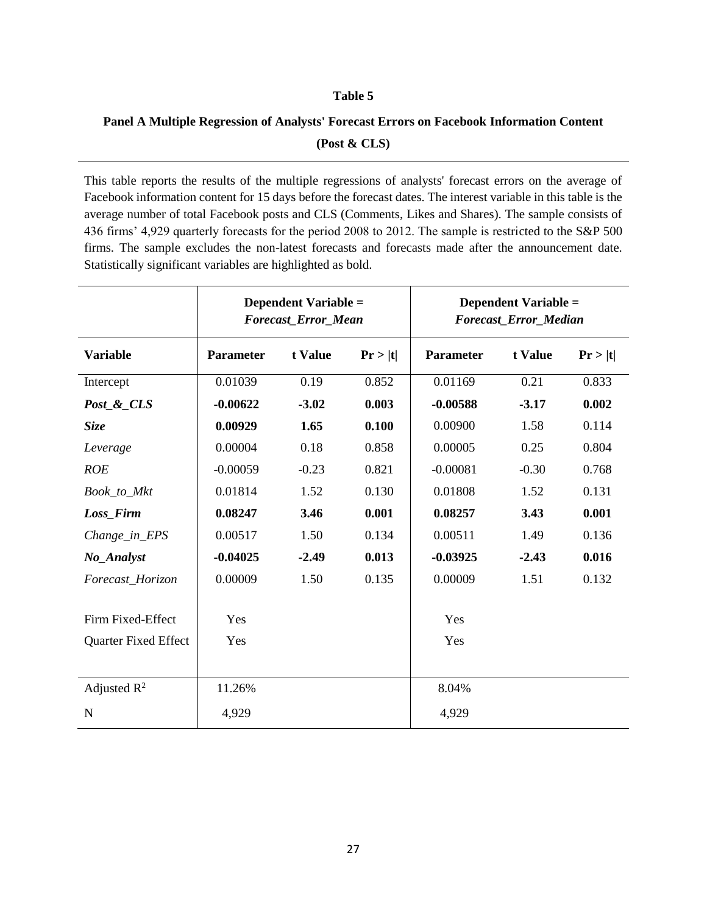# **Panel A Multiple Regression of Analysts' Forecast Errors on Facebook Information Content (Post & CLS)**

This table reports the results of the multiple regressions of analysts' forecast errors on the average of Facebook information content for 15 days before the forecast dates. The interest variable in this table is the average number of total Facebook posts and CLS (Comments, Likes and Shares). The sample consists of 436 firms' 4,929 quarterly forecasts for the period 2008 to 2012. The sample is restricted to the S&P 500 firms. The sample excludes the non-latest forecasts and forecasts made after the announcement date. Statistically significant variables are highlighted as bold.

|                      | <b>Dependent Variable =</b><br><b>Forecast Error Mean</b> | <b>Dependent Variable =</b><br><b>Forecast Error Median</b> |         |                  |         |         |
|----------------------|-----------------------------------------------------------|-------------------------------------------------------------|---------|------------------|---------|---------|
| <b>Variable</b>      | <b>Parameter</b>                                          | t Value                                                     | Pr >  t | <b>Parameter</b> | t Value | Pr >  t |
| Intercept            | 0.01039                                                   | 0.19                                                        | 0.852   | 0.01169          | 0.21    | 0.833   |
| Post_&_CLS           | $-0.00622$                                                | $-3.02$                                                     | 0.003   | $-0.00588$       | $-3.17$ | 0.002   |
| <b>Size</b>          | 0.00929                                                   | 1.65                                                        | 0.100   | 0.00900          | 1.58    | 0.114   |
| Leverage             | 0.00004                                                   | 0.18                                                        | 0.858   | 0.00005          | 0.25    | 0.804   |
| <b>ROE</b>           | $-0.00059$                                                | $-0.23$                                                     | 0.821   | $-0.00081$       | $-0.30$ | 0.768   |
| Book_to_Mkt          | 0.01814                                                   | 1.52                                                        | 0.130   | 0.01808          | 1.52    | 0.131   |
| Loss Firm            | 0.08247                                                   | 3.46                                                        | 0.001   | 0.08257          | 3.43    | 0.001   |
| Change_in_EPS        | 0.00517                                                   | 1.50                                                        | 0.134   | 0.00511          | 1.49    | 0.136   |
| No_Analyst           | $-0.04025$                                                | $-2.49$                                                     | 0.013   | $-0.03925$       | $-2.43$ | 0.016   |
| Forecast_Horizon     | 0.00009                                                   | 1.50                                                        | 0.135   | 0.00009          | 1.51    | 0.132   |
| Firm Fixed-Effect    | Yes                                                       |                                                             |         | Yes              |         |         |
| Quarter Fixed Effect | Yes                                                       |                                                             |         | Yes              |         |         |
|                      |                                                           |                                                             |         |                  |         |         |
| Adjusted $R^2$       | 11.26%                                                    |                                                             |         | 8.04%            |         |         |
| $\mathbf N$          | 4,929                                                     |                                                             |         | 4,929            |         |         |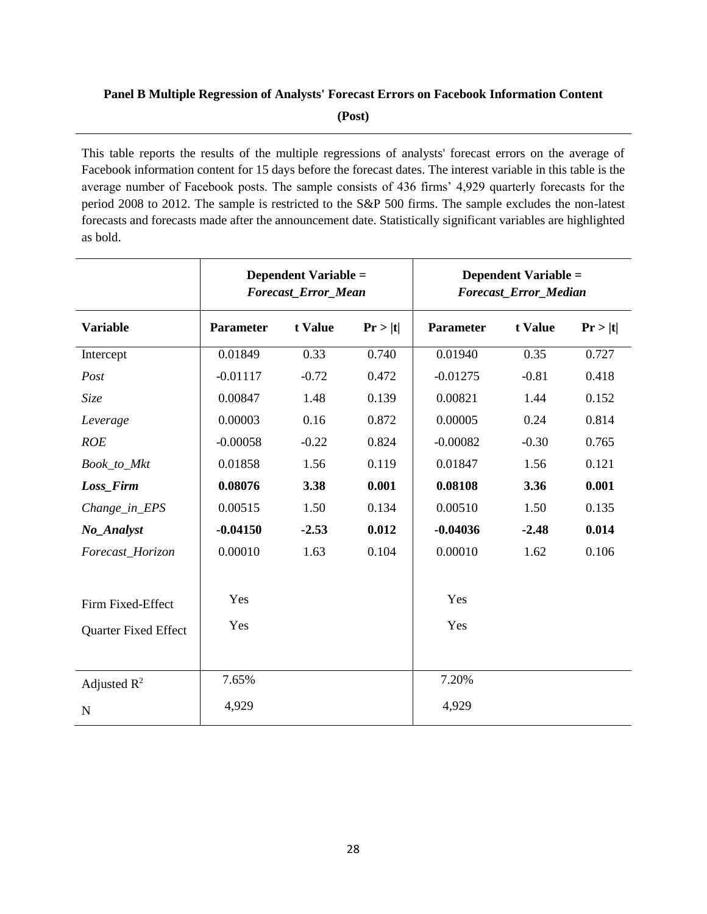# **Panel B Multiple Regression of Analysts' Forecast Errors on Facebook Information Content**

**(Post)**

This table reports the results of the multiple regressions of analysts' forecast errors on the average of Facebook information content for 15 days before the forecast dates. The interest variable in this table is the average number of Facebook posts. The sample consists of 436 firms' 4,929 quarterly forecasts for the period 2008 to 2012. The sample is restricted to the S&P 500 firms. The sample excludes the non-latest forecasts and forecasts made after the announcement date. Statistically significant variables are highlighted as bold.

|                      |                  | <b>Dependent Variable =</b><br><b>Forecast Error Mean</b> |         |            | <b>Dependent Variable =</b><br><b>Forecast_Error_Median</b> |         |  |
|----------------------|------------------|-----------------------------------------------------------|---------|------------|-------------------------------------------------------------|---------|--|
| <b>Variable</b>      | <b>Parameter</b> | t Value                                                   | Pr >  t | Parameter  | t Value                                                     | Pr >  t |  |
| Intercept            | 0.01849          | 0.33                                                      | 0.740   | 0.01940    | 0.35                                                        | 0.727   |  |
| Post                 | $-0.01117$       | $-0.72$                                                   | 0.472   | $-0.01275$ | $-0.81$                                                     | 0.418   |  |
| Size                 | 0.00847          | 1.48                                                      | 0.139   | 0.00821    | 1.44                                                        | 0.152   |  |
| Leverage             | 0.00003          | 0.16                                                      | 0.872   | 0.00005    | 0.24                                                        | 0.814   |  |
| ROE                  | $-0.00058$       | $-0.22$                                                   | 0.824   | $-0.00082$ | $-0.30$                                                     | 0.765   |  |
| Book_to_Mkt          | 0.01858          | 1.56                                                      | 0.119   | 0.01847    | 1.56                                                        | 0.121   |  |
| Loss_Firm            | 0.08076          | 3.38                                                      | 0.001   | 0.08108    | 3.36                                                        | 0.001   |  |
| $Change_in\_EPS$     | 0.00515          | 1.50                                                      | 0.134   | 0.00510    | 1.50                                                        | 0.135   |  |
| No_Analyst           | $-0.04150$       | $-2.53$                                                   | 0.012   | $-0.04036$ | $-2.48$                                                     | 0.014   |  |
| Forecast_Horizon     | 0.00010          | 1.63                                                      | 0.104   | 0.00010    | 1.62                                                        | 0.106   |  |
|                      |                  |                                                           |         |            |                                                             |         |  |
| Firm Fixed-Effect    | Yes              |                                                           |         | Yes        |                                                             |         |  |
| Quarter Fixed Effect | Yes              |                                                           |         | Yes        |                                                             |         |  |
|                      |                  |                                                           |         |            |                                                             |         |  |
| Adjusted $R^2$       | 7.65%            |                                                           |         | 7.20%      |                                                             |         |  |
| $\mathbf N$          | 4,929            |                                                           |         | 4,929      |                                                             |         |  |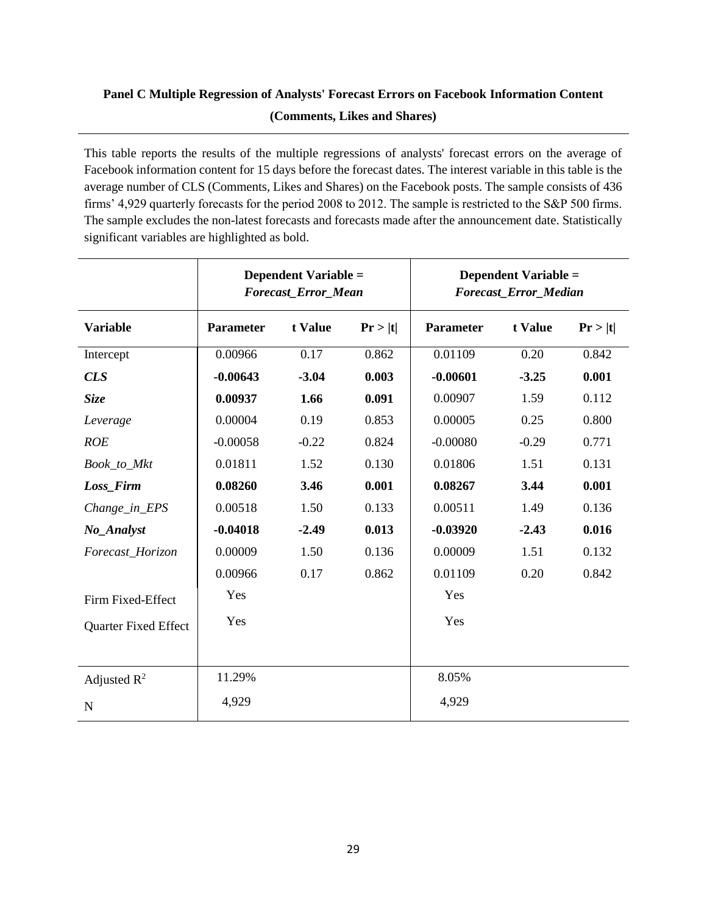# **Panel C Multiple Regression of Analysts' Forecast Errors on Facebook Information Content (Comments, Likes and Shares)**

This table reports the results of the multiple regressions of analysts' forecast errors on the average of Facebook information content for 15 days before the forecast dates. The interest variable in this table is the average number of CLS (Comments, Likes and Shares) on the Facebook posts. The sample consists of 436 firms' 4,929 quarterly forecasts for the period 2008 to 2012. The sample is restricted to the S&P 500 firms. The sample excludes the non-latest forecasts and forecasts made after the announcement date. Statistically significant variables are highlighted as bold.

|                      |                  | <b>Dependent Variable =</b><br><b>Forecast Error Mean</b> |         |                  | <b>Dependent Variable =</b><br><b>Forecast Error Median</b> |         |
|----------------------|------------------|-----------------------------------------------------------|---------|------------------|-------------------------------------------------------------|---------|
| <b>Variable</b>      | <b>Parameter</b> | t Value                                                   | Pr >  t | <b>Parameter</b> | t Value                                                     | Pr >  t |
| Intercept            | 0.00966          | 0.17                                                      | 0.862   | 0.01109          | 0.20                                                        | 0.842   |
| <b>CLS</b>           | $-0.00643$       | $-3.04$                                                   | 0.003   | $-0.00601$       | $-3.25$                                                     | 0.001   |
| <b>Size</b>          | 0.00937          | 1.66                                                      | 0.091   | 0.00907          | 1.59                                                        | 0.112   |
| Leverage             | 0.00004          | 0.19                                                      | 0.853   | 0.00005          | 0.25                                                        | 0.800   |
| ROE                  | $-0.00058$       | $-0.22$                                                   | 0.824   | $-0.00080$       | $-0.29$                                                     | 0.771   |
| Book_to_Mkt          | 0.01811          | 1.52                                                      | 0.130   | 0.01806          | 1.51                                                        | 0.131   |
| Loss_Firm            | 0.08260          | 3.46                                                      | 0.001   | 0.08267          | 3.44                                                        | 0.001   |
| $Change_in\_EPS$     | 0.00518          | 1.50                                                      | 0.133   | 0.00511          | 1.49                                                        | 0.136   |
| No_Analyst           | $-0.04018$       | $-2.49$                                                   | 0.013   | $-0.03920$       | $-2.43$                                                     | 0.016   |
| Forecast_Horizon     | 0.00009          | 1.50                                                      | 0.136   | 0.00009          | 1.51                                                        | 0.132   |
|                      | 0.00966          | 0.17                                                      | 0.862   | 0.01109          | 0.20                                                        | 0.842   |
| Firm Fixed-Effect    | Yes              |                                                           |         | Yes              |                                                             |         |
| Quarter Fixed Effect | Yes              |                                                           |         | Yes              |                                                             |         |
|                      |                  |                                                           |         |                  |                                                             |         |
| Adjusted $R^2$       | 11.29%           |                                                           |         | 8.05%            |                                                             |         |
| $\mathbf N$          | 4,929            |                                                           |         | 4,929            |                                                             |         |